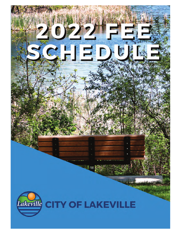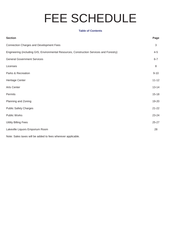# FEE SCHEDULE

#### **Table of Contents**

| <b>Section</b>                                                                           | Page         |
|------------------------------------------------------------------------------------------|--------------|
| <b>Connection Charges and Development Fees</b>                                           | $\mathbf{3}$ |
| Engineering (including GIS, Environmental Resources, Construction Services and Forestry) | $4 - 5$      |
| <b>General Government Services</b>                                                       | $6 - 7$      |
| Licenses                                                                                 | 8            |
| Parks & Recreation                                                                       | $9 - 10$     |
| Heritage Center                                                                          | $11 - 12$    |
| <b>Arts Center</b>                                                                       | $13 - 14$    |
| Permits                                                                                  | $15 - 18$    |
| Planning and Zoning                                                                      | 19-20        |
| <b>Public Safety Charges</b>                                                             | $21 - 22$    |
| Public Works                                                                             | 23-24        |
| <b>Utility Billing Fees</b>                                                              | $25 - 27$    |
| Lakeville Liquors Emporium Room                                                          | 28           |

Note: Sales taxes will be added to fees wherever applicable.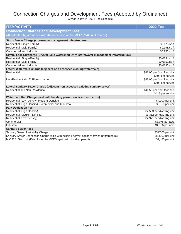# Connection Charges and Development Fees (Adopted by Ordinance)

| <b>ITEM/ACTIVITY</b>                                                                       | <b>2022 Fee</b>             |
|--------------------------------------------------------------------------------------------|-----------------------------|
| <b>Connection Charges and Development Fees</b>                                             |                             |
| (All adopted by ordinance with the exception of the MCES SAC unit charge)                  |                             |
| Storm Sewer Charge (stormwater management infrastructure)                                  |                             |
| Residential (Single-Family)                                                                | \$0.178/sq ft               |
| Residential (Multi-Family)                                                                 | \$0.198/sq ft               |
| Commercial and Industrial                                                                  | \$0.250/sq ft               |
| Crystal Lake Surcharge (Crystal Lake Watershed Only, stormwater management infrastructure) |                             |
| Residential (Single-Family)                                                                | \$0.0134/sq ft              |
| Residential (Multi-Family)                                                                 | \$0.0153/sq ft              |
| Commercial and Industrial                                                                  | \$0.0195/sq ft              |
| Lateral Watermain Charge (adjacent non-assessed existing watermain)                        |                             |
| Residential                                                                                | \$41.00 per front foot plus |
|                                                                                            | \$408 per service           |
| Non-Residential (12" Pipe or Larger)                                                       | \$48.00 per front foot plus |
|                                                                                            | \$408 per service           |
| Lateral Sanitary Sewer Charge (adjacent non-assessed existing sanitary sewer)              |                             |
| Residential and Non-Residential                                                            | \$41.50 per front foot plus |
|                                                                                            | \$418 per service           |
| Watermain Unit Charge (paid with building permit, water infrastructure)                    |                             |
| Residential (Low-Density, Medium-Density)                                                  | \$4,100 per unit            |
| Residential (High Density), Commercial and Industrial                                      | \$2,050 per unit            |
| <b>Park Dedication Fee</b>                                                                 |                             |
| Residential (High-Density)                                                                 | \$2,593 per dwelling unit   |
| Residential (Medium-Density)                                                               | \$3,382 per dwelling unit   |
| Residential (Low-Density)                                                                  | \$4,971 per dwelling unit   |
| Commercial                                                                                 | \$8,078 per acre            |
| Industrial                                                                                 | \$4,786 per acre            |
| <b>Sanitary Sewer Fees</b>                                                                 |                             |
| Sanitary Sewer Availability Charge                                                         | \$327.00 per unit           |
| Sanitary Sewer Connection Charge (paid with building permit-sanitary sewer infrastructure) | \$825.00 per unit           |
| M.C.E.S. Sac Unit (Established by MCES) (paid with building permit)                        | \$2,485 per unit            |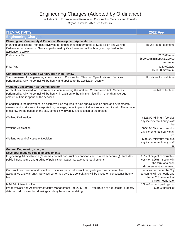# Engineering Charges (Adopted by Ordinance)

#### Includes GIS, Environmental Resources, Construction Services and Forestry

| <b>ITEM/ACTIVITY</b>                                                                                                                                                                                                                                                                                           | <b>2022 Fee</b>                                                                                                  |
|----------------------------------------------------------------------------------------------------------------------------------------------------------------------------------------------------------------------------------------------------------------------------------------------------------------|------------------------------------------------------------------------------------------------------------------|
| <b>Engineering Charges</b>                                                                                                                                                                                                                                                                                     |                                                                                                                  |
| <b>Planning and Community &amp; Economic Development Applications</b>                                                                                                                                                                                                                                          |                                                                                                                  |
| Planning applications (non-plat) reviewed for engineering conformance to Subdivision and Zoning<br>Ordinance requirements. Services performed by City Personnel will be hourly and applied to the<br>application escrow.                                                                                       | Hourly fee for staff time                                                                                        |
| <b>Preliminary Plat</b>                                                                                                                                                                                                                                                                                        | \$150.00/acre<br>\$500.00 minimum/\$3,200.00<br>maximum                                                          |
| <b>Final Plat</b>                                                                                                                                                                                                                                                                                              | \$150.00/acre<br>\$500.00 maximum                                                                                |
| <b>Construction and Asbuilt Construction Plan Review</b>                                                                                                                                                                                                                                                       |                                                                                                                  |
| 'Plans reviewed for engineering conformance to Construction Standard Specifications. Services<br>performed by City Personnel will be hourly and applied to the application escrow.                                                                                                                             | Hourly fee for staff time                                                                                        |
| <b>Wetland Conservation Act Administration</b>                                                                                                                                                                                                                                                                 |                                                                                                                  |
| Applications reviewed for conformance in administering the Wetland Conservation Act. Services<br>performed by City Personnel will be hourly, in addition to the minimum fee, if a higher than average<br>amount of time is spent on the services.                                                              | See below for fees                                                                                               |
| In addition to the below fees, an escrow will be required to fund special studies such as environmental<br>assessment worksheets, transportation, drainage, noise impacts, indirect source permits, etc. The amount<br>of escrow will be based on the site, complexity, diversity and location of the project. |                                                                                                                  |
| <b>Wetland Delineation</b>                                                                                                                                                                                                                                                                                     | \$325.00 Minimum fee plus<br>any incremental hourly staff<br>fee                                                 |
| <b>Wetland Application</b>                                                                                                                                                                                                                                                                                     | \$250.00 Minimum fee plus<br>any incremental hourly staff<br>fee                                                 |
| Wetland Appeal of Notice of Decision                                                                                                                                                                                                                                                                           | \$300.00 Minimum fee plus<br>any incremental hourly staff<br>fee                                                 |
| <b>General Engineering charges</b>                                                                                                                                                                                                                                                                             |                                                                                                                  |
| <b>Developer Installed Public Improvements</b>                                                                                                                                                                                                                                                                 |                                                                                                                  |
| Engineering Administration (*assumes normal construction conditions and project scheduling). Includes<br>public infrastructure and grading of public stormwater management requirements.                                                                                                                       | 3.0% of project construction<br>cost* or 3.25% if security in<br>the form of a cash<br>disbursement agreement.   |
| Construction Observation/Inspection. Includes public infrastructure, grading/erosion control, final<br>acceptance and warranty. Services performed by City's consultants will be based on consultant's hourly<br>fee.                                                                                          | Services performed by City<br>personnel will be hourly and<br>billed at 2.5 times actual<br>payroll hourly rate. |
| MS4 Administration Fee                                                                                                                                                                                                                                                                                         | 2.0% of project grading cost                                                                                     |
| Property Data and Asset/Infrastructure Management Fee (GIS Fee). Preparation of addressing, property<br>data, record construction drawings and city base map updating.                                                                                                                                         | \$90.00 parcel/lot                                                                                               |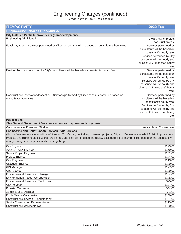# Engineering Charges (continued)

| <b>ITEM/ACTIVITY</b>                                                                                                                                                                                                                                                                                                                                                                                           | <b>2022 Fee</b>                                                                                                                                                                               |
|----------------------------------------------------------------------------------------------------------------------------------------------------------------------------------------------------------------------------------------------------------------------------------------------------------------------------------------------------------------------------------------------------------------|-----------------------------------------------------------------------------------------------------------------------------------------------------------------------------------------------|
| <b>Engineering Charges (continued)</b>                                                                                                                                                                                                                                                                                                                                                                         |                                                                                                                                                                                               |
| <b>City Installed Public Improvements (non-development)</b>                                                                                                                                                                                                                                                                                                                                                    |                                                                                                                                                                                               |
| <b>Engineering Administration</b>                                                                                                                                                                                                                                                                                                                                                                              | 2.0%-3.0% of project                                                                                                                                                                          |
|                                                                                                                                                                                                                                                                                                                                                                                                                | construction cost                                                                                                                                                                             |
| Feasibility report- Services performed by City's consultants will be based on consultant's hourly fee.                                                                                                                                                                                                                                                                                                         | Services performed by<br>consultants will be based on<br>consultant's hourly rate.<br>Services performed by City<br>personnel will be hourly and<br>billed at 2.5 times staff hourly<br>rate. |
| Design- Services performed by City's consultants will be based on consultant's hourly fee.                                                                                                                                                                                                                                                                                                                     | Services performed by<br>consultants will be based on<br>consultant's hourly rate.<br>Services performed by City<br>personnel will be hourly and<br>billed at 2.5 times staff hourly<br>rate. |
| Construction Observation/Inspection- Services performed by City's consultants will be based on<br>consultant's hourly fee.                                                                                                                                                                                                                                                                                     | Services performed by<br>consultants will be based on<br>consultant's hourly rate.<br>Services performed by City<br>personnel will be hourly and<br>billed at 2.5 times staff hourly<br>rate. |
| <b>Publications</b><br>*See General Government Services section for map fees and copy costs.                                                                                                                                                                                                                                                                                                                   |                                                                                                                                                                                               |
| Comprehensive Plans and Studies.                                                                                                                                                                                                                                                                                                                                                                               | Available on City website.                                                                                                                                                                    |
| <b>Engineering and Construction Services Staff Services</b><br>(Hourly fees are associated with staff time on City/County capital improvement projects, City and Developer-Installed Public Improvement<br>Projects and planning applications (preliminary and final plat engineering review excluded). Fees may be billed based on the titles below<br>or any changes to the position titles during the year. |                                                                                                                                                                                               |
| <b>City Engineer</b>                                                                                                                                                                                                                                                                                                                                                                                           | \$179.00                                                                                                                                                                                      |
| <b>Assistant City Engineer</b>                                                                                                                                                                                                                                                                                                                                                                                 | \$160.00                                                                                                                                                                                      |
| Senior Project Engineer                                                                                                                                                                                                                                                                                                                                                                                        | \$151.00                                                                                                                                                                                      |
| Project Engineer                                                                                                                                                                                                                                                                                                                                                                                               | \$134.00                                                                                                                                                                                      |
| Civil Engineer                                                                                                                                                                                                                                                                                                                                                                                                 | \$113.00                                                                                                                                                                                      |
| <b>Graduate Engineer</b>                                                                                                                                                                                                                                                                                                                                                                                       | \$100.00                                                                                                                                                                                      |
| <b>GIS Manager</b>                                                                                                                                                                                                                                                                                                                                                                                             | \$127.00                                                                                                                                                                                      |
| <b>GIS Analyst</b>                                                                                                                                                                                                                                                                                                                                                                                             | \$100.00                                                                                                                                                                                      |
| <b>Environmental Resources Manager</b>                                                                                                                                                                                                                                                                                                                                                                         | \$134.00                                                                                                                                                                                      |
| <b>Environmental Resources Specialist</b>                                                                                                                                                                                                                                                                                                                                                                      | \$106.00                                                                                                                                                                                      |
| <b>Environmental Resources Technician</b>                                                                                                                                                                                                                                                                                                                                                                      | \$95.00                                                                                                                                                                                       |
| <b>City Forester</b><br>Forester Technician                                                                                                                                                                                                                                                                                                                                                                    | \$127.00                                                                                                                                                                                      |
| <b>Administrative Assistant</b>                                                                                                                                                                                                                                                                                                                                                                                | \$84.00                                                                                                                                                                                       |
| <b>Public Works Coordinator</b>                                                                                                                                                                                                                                                                                                                                                                                | \$84.00<br>\$160.00                                                                                                                                                                           |
| <b>Construction Services Superintendent</b>                                                                                                                                                                                                                                                                                                                                                                    | \$151.00                                                                                                                                                                                      |
| Senior Construction Representative                                                                                                                                                                                                                                                                                                                                                                             | \$113.00                                                                                                                                                                                      |
| <b>Construction Representative</b>                                                                                                                                                                                                                                                                                                                                                                             | \$100.00                                                                                                                                                                                      |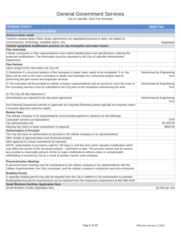# General Government Services

| <b>ITEM/ACTIVITY</b>                                                                                          | <b>2022 Fee</b>                   |
|---------------------------------------------------------------------------------------------------------------|-----------------------------------|
| <b>General Government services</b>                                                                            |                                   |
| Antenna tower rental                                                                                          |                                   |
| Tenant's Leasing Space Rates (lease agreements are negotiated pursuant to rates, but subject to               |                                   |
| circumstances, technology, available space, etc).                                                             | Negotiated                        |
| Cellular equipment modification process on city monopoles and water towers                                    |                                   |
| <b>Plan Submittal:</b>                                                                                        |                                   |
| Cellular companies or their representatives must submit detailed plans and specifications outlining the       |                                   |
| proposed modifications. The information must be submitted to the City of Lakeville Administration             |                                   |
| Department.                                                                                                   |                                   |
| <b>Plan Review:</b>                                                                                           |                                   |
| Upon receipt of the information the City will:                                                                |                                   |
| 1) Determine if a structural analysis of the monopole or water tower needs to be completed. If so, the        | Determined by Engineering         |
| plans will be sent to the City's consultant to obtain cost estimates for a structural analysis and for        | Firm                              |
| performing the plan review and inspection services                                                            |                                   |
| 2) The estimates will be provided to cellular company representatives and an escrow to cover the costs of     | Determined by Engineering         |
| the consulting services must be submitted to the City prior to the consultant commencing the work.            | Firm                              |
|                                                                                                               |                                   |
| 3) The City will also determine if:                                                                           |                                   |
| Amendments are required to the site lease agreement                                                           | Determined by Engineering<br>Firm |
| Any Planning Department permits or approvals are required (Planning actions typically not required unless     |                                   |
| it exceeds approved antenna height)                                                                           |                                   |
| <b>Review Fees:</b>                                                                                           |                                   |
| The cellular company or its representatives must provide payment in advance for the following:                |                                   |
| Consultant services as listed above                                                                           | Cost                              |
| City administration fee                                                                                       | \$1,000.00                        |
| Attorney fee (only if a lease amendment is required)                                                          | \$500.00                          |
| <b>Authorization to Proceed:</b>                                                                              |                                   |
| The City will issue an authorization to proceed to the cellular company or its representatives:               |                                   |
| After receipt of approved plans and structural analysis                                                       |                                   |
| After approval of a lease amendment (if required)                                                             |                                   |
| NOTE: authorization to proceed is valid for 120 days or until the next carrier requests modification which    |                                   |
| may affect the results of the structural analysis - whichever is later. The process insures that all carriers |                                   |
| are provided a reasonable amount of time to make modifications without undue or unreasonable                  |                                   |
| withholding of consent by City as a result of another carriers work schedule.                                 |                                   |
| <b>Preconstruction Meeting:</b>                                                                               |                                   |
| A preconstruction meeting must be coordinated by the cellular company or its representatives with the         |                                   |
| Utilities Superintendent, the City's consultant, and the cellular company's contractors and sub-contractors.  |                                   |
| <b>Building Permit:</b>                                                                                       |                                   |
| A separate building permit may also be required from the City in addition to the authorization to proceed.    |                                   |
| Building/electrical permit requirements can be obtained from the Inspections Department at 952-985-4440       |                                   |
| <b>Small Wireless Facilities Application fees:</b>                                                            |                                   |
| Small Wireless Facility Application fees                                                                      | \$1,000 per unit                  |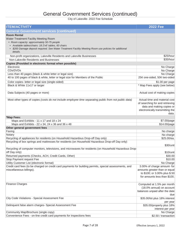| <b>ITEM/ACTIVITY</b>                                                                                                     | <b>2022 Fee</b>                 |
|--------------------------------------------------------------------------------------------------------------------------|---------------------------------|
| <b>General Government services (continued)</b>                                                                           |                                 |
| <b>Room Rental</b>                                                                                                       |                                 |
| Water Treatment Facility Meeting Room                                                                                    |                                 |
| • Room capacity: approximately 50-75 people                                                                              |                                 |
| • Available tables/chairs: 18 2'x6' tables, 60 chairs                                                                    |                                 |
| • \$200 Damage deposit required. See Water Treatment Facility Meeting Room use policies for additional                   |                                 |
| details.                                                                                                                 |                                 |
| Non-profit organizations, Lakeville Residents and Lakeville Businesses                                                   | \$25/hour                       |
| Non-Lakeville Residents and Businesses                                                                                   | \$35/hour                       |
| Copies (Provided in electronic format when possible)                                                                     |                                 |
| Electronic                                                                                                               | No Charge                       |
| CDs/DVDs                                                                                                                 | No Charge                       |
| Less than 40 pages (black & white letter or legal size)                                                                  | No Charge                       |
| 40 to 100 pages of black & white, letter or legal size for Members of the Public                                         | 25¢ one-sided, 50¢ two-sided    |
| Color copies- letter or legal size (single-sided)                                                                        | \$1.00 per page                 |
| Black & White 11x17 or larger                                                                                            | * Map Fees apply (see below)    |
|                                                                                                                          |                                 |
| Data Subjects (40 pages or more)                                                                                         | Actual cost of making copies    |
|                                                                                                                          |                                 |
| Most other types of copies (costs do not include employee time separating public from not public data)                   | Actual time and material cost   |
|                                                                                                                          | of searching for and retrieving |
|                                                                                                                          | data and making copies or       |
|                                                                                                                          | electronically transmitting the |
|                                                                                                                          | data.                           |
| *Map Fees:                                                                                                               |                                 |
| Maps and Exhibits - 11 x 17 and 18 x 24                                                                                  | \$7.00/page                     |
| Maps and Exhibits - 22 x 34, 24 x 36 and 36 x 48                                                                         | \$14.00/page                    |
| Other general government fees                                                                                            |                                 |
| Faxing                                                                                                                   | No charge                       |
| Notary                                                                                                                   | No charge                       |
| Recycling of appliances for residents (on Household Hazardous Drop-off Day only)                                         | \$25.00/ea.                     |
| Recycling of box springs and mattresses for residents (on Household Hazardous Drop-off Day only)                         |                                 |
|                                                                                                                          | \$30/unit                       |
| Recycling of computer monitors, televisions, and microwaves for residents (on Household Hazardous Drop-<br>off Day only) |                                 |
|                                                                                                                          | \$10/unit<br>\$30.00            |
| Returned payments (Checks, ACH, Credit Cards, Other)<br>Stop Payment request Fee                                         | \$10.00                         |
| Utility Customer List (electronic format)                                                                                | No Charge                       |
| Credit card fees (to be charged on credit card payments for building permits, special assessments, and                   | 3.00% of charge amount- for     |
| miscellaneous billings).                                                                                                 | amounts greater than or equal   |
|                                                                                                                          | to \$100; or 3.00% plus \$.50   |
|                                                                                                                          | for amounts less than \$100.    |
|                                                                                                                          |                                 |
| <b>Finance Charges</b>                                                                                                   | Computed at 1.5% per month      |
|                                                                                                                          | (18.0% annual) on account       |
|                                                                                                                          | balances unpaid after the date  |
|                                                                                                                          | due                             |
| City Code Violations - Special Assessment Fee                                                                            | \$35.00/lot plus 18% interest   |
|                                                                                                                          | per year                        |
| Delinquent false alarm charges- Special Assessment Fee                                                                   | \$35.00/property plus 18%       |
|                                                                                                                          | interest per year               |
| Community Map/Brochure (single copy)                                                                                     | No Charge                       |
| Convenience Fees - on-line credit card payments for inspections fees                                                     | \$2.50 / transaction            |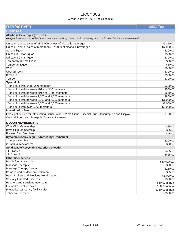## Licenses

| <b>ITEM/ACTIVITY</b>                                                                                                      | <b>2022 Fee</b> |
|---------------------------------------------------------------------------------------------------------------------------|-----------------|
| <b>Licenses</b>                                                                                                           |                 |
| Alcoholic Beverages (ord. 3-1)                                                                                            |                 |
| Multiple licenses for a cocktail room, a brewpub and taproom: A single fee equal to the highest fee for a license issued. |                 |
| On sale: annual sales of \$375,000 or less of alcoholic beverages                                                         | \$6,250.00      |
| On sale: annual sales of more than \$375,000 of alcoholic beverages                                                       | \$7,000.00      |
| Sunday liquor                                                                                                             | \$200.00        |
| On sale 3.2 malt liquor                                                                                                   | \$300.00        |
| Off sale 3.2 malt liquor                                                                                                  | \$300.00        |
| Temporary 3.2 malt liquor                                                                                                 | \$50.00         |
| <b>Temporary Liquor</b>                                                                                                   | \$50.00         |
| Wine                                                                                                                      | \$800.00        |
| Cocktail room                                                                                                             | \$300.00        |
| <b>Brewpub</b>                                                                                                            | \$300.00        |
| Taproom                                                                                                                   | \$300.00        |
| Special club:                                                                                                             |                 |
| For a club with under 200 members                                                                                         | \$300.00        |
| For a club with between 201 and 500 members                                                                               | \$500.00        |
| For a club with between 501 and 1,000 members                                                                             | \$650.00        |
| For a club with between 1,001 and 2,000 members                                                                           | \$800.00        |
| For a club with between 2,001 and 4,000 members                                                                           | \$1,000.00      |
| For a club with between 4,001 and 6,000 members                                                                           | \$2,000.00      |
| For a club with over 6,000 members                                                                                        | \$3,000.00      |
| Investigation fees:                                                                                                       |                 |
| Investigation Fee for Intoxicating Liquor, wine, 3.2 malt liquor, Special Club, Consumption and Display,                  | \$700.00        |
| Cocktail Room and Brewpub, Taproom Licenses.                                                                              |                 |
| <b>LIQUOR MEMBERSHIPS</b>                                                                                                 |                 |
| Wine Club Membership                                                                                                      | \$25.00         |
| <b>Brew Club Membership</b>                                                                                               | \$25.00         |
| Premier Club Membership                                                                                                   | \$45.00         |
| <b>Dynamic Display Sign (Adopted by Ordinance)</b>                                                                        |                 |
| 1. Application fee                                                                                                        | \$100.00        |
| 2. Annual renewal fee                                                                                                     | \$50.00         |
| <b>Solid Waste/Recyclable Material Collection</b>                                                                         |                 |
| 1. Class A                                                                                                                | \$425.00        |
| 2. Class B                                                                                                                | \$425.00        |
| <b>Other license fees</b>                                                                                                 |                 |
| Mobile food truck units                                                                                                   | \$50.00/year    |
| Massage Therapist                                                                                                         | \$50.00         |
| Massage Therapy Center                                                                                                    | \$150.00        |
| Parades and outdoor entertainment                                                                                         | \$25.00         |
| Pawn Brokers and Precious Metal Dealers                                                                                   | \$8,000.00      |
| <b>Sexually Oriented Business</b>                                                                                         | \$300.00        |
| Peddlers and transient merchants                                                                                          | \$50.00 annual  |
| Fireworks- in-store sales                                                                                                 | 100.00 annual   |
| Fireworks-temporary facility sales                                                                                        | \$350.00 annual |
| <b>Tobacco Licenses</b>                                                                                                   | \$300.00        |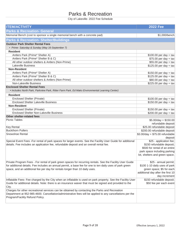# Parks & Recreation

| <b>ITEM/ACTIVITY</b>                                                                                        | <b>2022 Fee</b>                   |
|-------------------------------------------------------------------------------------------------------------|-----------------------------------|
| <b>Parks &amp; Recreation- General</b>                                                                      |                                   |
| Memorial Bench (cost to sponsor a single memorial bench with a concrete pad)                                | \$1,000/bench                     |
| <b>Parks &amp; Recreation- Shelter/Buildings</b>                                                            |                                   |
| <b>Outdoor Park Shelter Rental Fees</b>                                                                     |                                   |
| • Prime- Saturday & Sunday (May 16-September 7)                                                             |                                   |
| <b>Resident</b>                                                                                             |                                   |
| Antlers Park (Prime* Shelter A)                                                                             | $$100.00$ per day + tax           |
| Antlers Park (Prime* Shelter B & C)                                                                         | $$75.00$ per day + tax            |
| All other outdoor shelters & Antlers (Non-Prime)                                                            | $$55.00$ per day + tax            |
| <b>Lakeville Business</b>                                                                                   | $$125.00$ per day + tax           |
| <b>Non-Resident</b>                                                                                         |                                   |
| Antlers Park (Prime* Shelter A)                                                                             | $$150.00$ per day + tax           |
| Antlers Park (Prime* Shelter B & C)                                                                         | $$125.00$ per day + tax           |
| All other outdoor shelters & Antlers (Non-Prime)                                                            | $$80.00$ per day + tax            |
| Non-Lakeville Business                                                                                      | $$225.00$ per day + tax           |
| <b>Enclosed Shelter Rental Fees</b>                                                                         |                                   |
| · Includes North Park, Parkview Park, Ritter Farm Park, Ed Mako Environmental Learning Center)              |                                   |
| <b>Resident</b>                                                                                             |                                   |
| <b>Enclosed Shelter (Private)</b>                                                                           | $$100.00$ per day + tax           |
| <b>Enclosed Shelter Lakeville Business</b>                                                                  | $$150.00$ per day + tax           |
| <b>Non-Resident</b>                                                                                         |                                   |
| <b>Enclosed Shelter (Private)</b>                                                                           | $$150.00$ per day + tax           |
| <b>Enclosed Shelter Non-Lakeville Business</b>                                                              | $$200.00$ per day + tax           |
| Other shelter-related fees                                                                                  |                                   |
| <b>Picnic Tables</b>                                                                                        | $$5.00/day + $150.00$             |
|                                                                                                             | refundable deposit                |
| <b>Key Rental</b>                                                                                           | \$25.00 refundable deposit        |
| <b>Buckthorn Pullers</b>                                                                                    | \$200.00 refundable deposit       |
| Snowshoe Rental                                                                                             | \$3.00/day + \$75.00 refundable   |
|                                                                                                             | deposit                           |
| Special Event Fees -For rental of park spaces for larger events. See the Facility User Guide for additional | \$25 - application fee;           |
| details. Fee includes an application fee, refundable deposit and an overall rental fee.                     | \$150 refundable deposit;         |
|                                                                                                             | \$500 for rental of an entire     |
|                                                                                                             | park space including parking      |
|                                                                                                             | lot, shelters and green space.    |
| Private Program Fees - For rental of park green spaces for recurring rentals. See the Facility User Guide   | \$25 - annual permit;             |
| for additional details. Fee includes an annual permit, a base fee for one to ten daily uses of park green   | \$100 1-10 daily uses of park     |
| space, and an additional fee per day for rentals longer than 10 daily uses.                                 | green space; \$5 for each         |
|                                                                                                             | additional day after the first 10 |
|                                                                                                             | day increment                     |
| Inflatable Fees- Fee charged by the City when an inflatable is used on park property. See the Facility User | \$150 refundable deposit;         |
| Guide for additional details. Note: there is an insurance waiver that must be signed and provided to the    | \$50 fee per each event           |
| City.                                                                                                       |                                   |
| Charges for other recreational services can be obtained by contacting the Parks and Recreation              |                                   |
| Department at 952-985-4600. Cancellation/administrative fees will be applied to any cancellations per the   |                                   |
| Program/Facility Refund Policy.                                                                             |                                   |
|                                                                                                             |                                   |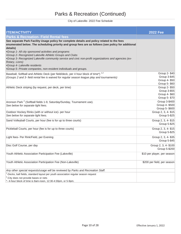| <b>ITEM/ACTIVITY</b>                                                                                                                                                                                                                                                                                                                                                                                                                                                                                                                                               | <b>2022 Fee</b>                                                 |
|--------------------------------------------------------------------------------------------------------------------------------------------------------------------------------------------------------------------------------------------------------------------------------------------------------------------------------------------------------------------------------------------------------------------------------------------------------------------------------------------------------------------------------------------------------------------|-----------------------------------------------------------------|
| <b>Parks &amp; Recreation- Field Rental fees</b>                                                                                                                                                                                                                                                                                                                                                                                                                                                                                                                   |                                                                 |
| See separate Park Facility Usage policy for complete details and policy related to the fees<br>enumerated below. The scheduling priority and group fees are as follows (see policy for additional<br>details)<br>•Group 1- All city sponsored activities and programs<br>•Group 2- Recognized Lakeville Athletic Groups and Clubs<br>•Group 3- Recognized Lakeville community service and civic non-profit organizations and agencies (ex-<br>Rotary, Lions)<br>•Group 4- Lakeville residents<br>•Group 5- Private companies, non-resident individuals and groups. |                                                                 |
| Baseball, Softball and Athletic Deck (per field/deck, per 4 hour block of time*) <sup>1,2</sup><br>(Groups 2 and 3- field rental fee is waived for regular season league play and tournaments)                                                                                                                                                                                                                                                                                                                                                                     | Group 2- \$40<br>Group 3-\$45<br>Group 4-\$50<br>Group 5- \$60  |
| Athletic Deck striping (by request, per deck, per time)                                                                                                                                                                                                                                                                                                                                                                                                                                                                                                            | Group 2- \$50<br>Group 3-\$55<br>Group 4- \$60<br>Group 5- \$70 |
| Aronson Park <sup>2</sup> (Softball fields 1-9, Saturday/Sunday, Tournament use).<br>See below for separate light fees.                                                                                                                                                                                                                                                                                                                                                                                                                                            | Group 3-\$400<br>Group 4- \$500<br>Group 5- \$600               |
| Outdoor Hockey Rinks (with or without ice)- per hour<br>See below for separate light fees.                                                                                                                                                                                                                                                                                                                                                                                                                                                                         | Group 2, 3, 4-\$15<br>Group 5-\$25                              |
| Sand Volleyball Courts, per hour (fee is for up to three courts)                                                                                                                                                                                                                                                                                                                                                                                                                                                                                                   | Group 2, 3, 4-\$15<br>Group 5-\$25                              |
| Pickleball Courts, per hour (fee is for up to three courts)                                                                                                                                                                                                                                                                                                                                                                                                                                                                                                        | Group 2, 3, 4-\$15<br>Group 5-\$25                              |
| Light fees- Per Rink/Field, per Evening                                                                                                                                                                                                                                                                                                                                                                                                                                                                                                                            | Group 2, 3, 4-\$35<br>Group 5-\$45                              |
| Disc Golf Course, per day                                                                                                                                                                                                                                                                                                                                                                                                                                                                                                                                          | Group 2, 3, 4-\$100<br>Group 5-\$200                            |
| Youth Athletic Association Participation Fee (Lakeville)                                                                                                                                                                                                                                                                                                                                                                                                                                                                                                           | \$10 per player, per season                                     |
| Youth Athletic Association Participation Fee (Non-Lakeville)                                                                                                                                                                                                                                                                                                                                                                                                                                                                                                       | \$200 per field, per season                                     |
| Any other special requests/usage will be reviewed by Parks and Recreation Staff.                                                                                                                                                                                                                                                                                                                                                                                                                                                                                   |                                                                 |
| <sup>1</sup> -Decks, ball fields, standard layout per youth association regular season request                                                                                                                                                                                                                                                                                                                                                                                                                                                                     |                                                                 |
| <sup>2</sup> -City does not provide bases or nets<br>*-4-hour block of time is 8am-noon, 12:30-4:30pm, or 5-9pm.                                                                                                                                                                                                                                                                                                                                                                                                                                                   |                                                                 |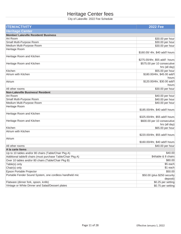# Heritage Center fees

| <b>ITEM/ACTIVITY</b>                                        | <b>2022 Fee</b>                 |
|-------------------------------------------------------------|---------------------------------|
| <b>Heritage Center</b>                                      |                                 |
| <b>Member/ Lakeville Resident/ Business</b>                 |                                 |
| Art Room                                                    | \$30.00 per hour                |
| Small Multi-Purpose Room                                    | \$30.00 per hour                |
| Medium Multi-Purpose Room                                   | \$30.00 per hour                |
| Heritage Room                                               |                                 |
|                                                             | \$160.00/4hr, \$40 add'l hours  |
| Heritage Room and Kitchen                                   |                                 |
|                                                             | \$275.00/4hr, \$55 add'l hours  |
| Heritage Room and Kitchen                                   | \$575.00 per 10 consecutive     |
|                                                             | hrs (all day)                   |
| Kitchen                                                     | \$55.00 per hour                |
| Atrium with Kitchen                                         | \$180.00/4hr, \$45.00 add'l     |
|                                                             | hours                           |
| Atrium                                                      | \$120.00/4hr, \$30.00 add'l     |
|                                                             | hours                           |
| All other rooms                                             | \$30.00 per hour                |
| <b>Non-Lakeville Business/ Resident</b>                     |                                 |
| Art Room                                                    | \$40.00 per hour                |
| Small Multi-Purpose Room                                    | \$40.00 per hour                |
| Medium Multi-Purpose Room                                   | \$40.00 per hour                |
| Heritage Room                                               |                                 |
|                                                             | \$185.00/4hr, \$40 add'l hours  |
| Heritage Room and Kitchen                                   |                                 |
|                                                             | \$325.00/4hr, \$55 add'l hours  |
| Heritage Room and Kitchen                                   | \$600.00 per 10 consecutive     |
|                                                             | hrs (all day)                   |
| Kitchen                                                     | \$65.00 per hour                |
| Atrium with Kitchen                                         |                                 |
|                                                             | \$220.00/4hr, \$55 add'l hours  |
| Atrium                                                      | \$160.00/4hr, \$40 add'l hours  |
|                                                             |                                 |
| All other rooms                                             | \$40.00 per hour                |
| A la carte Items                                            |                                 |
| Up to 10 tables and/or 80 chairs (Table/Chair Pkg A)        | \$40.00<br>\$4/table & 8 chairs |
| Additional table/8 chairs (must purchase Table/Chair Pkg A) |                                 |
| Over 10 tables and/or 80 chairs (Table/Chair Pkg B)         | \$80.00                         |
| Table(s) only                                               | \$5 each                        |
| Chair(s) only                                               | \$1 each                        |
| Epson Portable Projector                                    | \$50.00                         |
| Portable Fender Sound System, one cordless handheld mic     | \$50.00 (plus \$250 security    |
|                                                             | deposit)                        |
| Flatware (dinner fork, spoon, knife)                        | \$0.25 per setting              |
| Vintage or White Dinner and Salad/Dessert plates            | \$0.75 per setting              |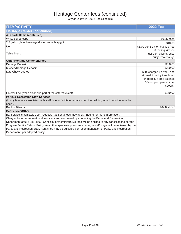# Heritage Center fees (continued)

| <b>ITEM/ACTIVITY</b>                                                                                                                                                                                                                                                                                                                                                                                                                                              | <b>2022 Fee</b>                                                                                                                     |
|-------------------------------------------------------------------------------------------------------------------------------------------------------------------------------------------------------------------------------------------------------------------------------------------------------------------------------------------------------------------------------------------------------------------------------------------------------------------|-------------------------------------------------------------------------------------------------------------------------------------|
| <b>Heritage Center (continued)</b>                                                                                                                                                                                                                                                                                                                                                                                                                                |                                                                                                                                     |
| A la carte Items (continued)                                                                                                                                                                                                                                                                                                                                                                                                                                      |                                                                                                                                     |
| White coffee cups                                                                                                                                                                                                                                                                                                                                                                                                                                                 | $$0.25$ each                                                                                                                        |
| 2.5 gallon glass beverage dispenser with spigot                                                                                                                                                                                                                                                                                                                                                                                                                   | \$10.00                                                                                                                             |
| Ice                                                                                                                                                                                                                                                                                                                                                                                                                                                               | \$5.00 per 5 gallon bucket; free<br>if renting kitchen                                                                              |
| <b>Table linens</b>                                                                                                                                                                                                                                                                                                                                                                                                                                               | Inquire on pricing, price<br>subject to change                                                                                      |
| <b>Other Heritage Center charges</b>                                                                                                                                                                                                                                                                                                                                                                                                                              |                                                                                                                                     |
| Damage Deposit                                                                                                                                                                                                                                                                                                                                                                                                                                                    | \$200.00                                                                                                                            |
| Kitchen/Damage Deposit                                                                                                                                                                                                                                                                                                                                                                                                                                            | \$200.00                                                                                                                            |
| Late Check out fee                                                                                                                                                                                                                                                                                                                                                                                                                                                | \$50, charged up front, and<br>returned if out by time listed<br>on permit. If time extends<br>30min. past permit time,<br>\$200/hr |
| Caterer Fee (when alcohol is part of the catered event)                                                                                                                                                                                                                                                                                                                                                                                                           | \$150.00                                                                                                                            |
| <b>Parks &amp; Recreation Staff Services</b><br>(hourly fees are associated with staff time to facilitate rentals when the building would not otherwise be<br>open).                                                                                                                                                                                                                                                                                              |                                                                                                                                     |
| <b>Facility Attendant</b>                                                                                                                                                                                                                                                                                                                                                                                                                                         | \$67.00/hour                                                                                                                        |
| <b>Bar Service/Other</b>                                                                                                                                                                                                                                                                                                                                                                                                                                          |                                                                                                                                     |
| Bar service is available upon request. Additional fees may apply. Inquire for more information.                                                                                                                                                                                                                                                                                                                                                                   |                                                                                                                                     |
| Charges for other recreational services can be obtained by contacting the Parks and Recreation<br>Department at 952-985-4600. Cancellation/administrative fees will be applied to any cancellations per the<br>Program/Facility Refund Policy. Any other special/requests/reoccuring rental/usage will be reviewed by the<br>Parks and Recreation Staff. Rental fee may be adjusted per recommendation of Parks and Recreation<br>Department, per adopted policy. |                                                                                                                                     |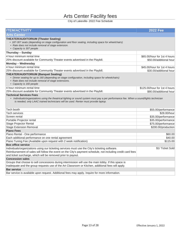## Arts Center Facility fees

| <b>ITEM/ACTIVITY</b>                                                                                                                                                                                                                    | <b>2022 Fee</b>               |
|-----------------------------------------------------------------------------------------------------------------------------------------------------------------------------------------------------------------------------------------|-------------------------------|
| <b>Arts Center</b>                                                                                                                                                                                                                      |                               |
| <b>THEATER/AUDITORIUM (Theater Seating)</b><br>• 187-307 seats (depending on stage configuration and floor seating, including space for wheelchairs)<br>• Rate does not include removal of stage extension.<br>• Capacity is 307 people |                               |
| Thursday - Sunday                                                                                                                                                                                                                       |                               |
| 4 hour minimum rental time                                                                                                                                                                                                              | \$65.00/hour for 1st 4 hours  |
| 25% discount available for Community Theater events advertised in the Playbill.                                                                                                                                                         | \$50.00/additional hour       |
| Monday - Wednesday                                                                                                                                                                                                                      |                               |
| 4 hour minimum rental time                                                                                                                                                                                                              | \$45.00/hour for 1st 4 hours  |
| 25% discount available for Community Theater events advertised in the Playbill.                                                                                                                                                         | \$30.00/additional hour       |
| <b>THEATER/AUDITORIUM (Banquet Seating)</b><br>· Dinner seating for up to 160 (depending on stage configuration, including space for wheelchairs)<br>• Rate does not include removal of stage extensions.<br>• Capacity is 160 people   |                               |
| 4 hour minimum rental time                                                                                                                                                                                                              | \$125,00/hour for 1st 4 hours |
| 25% discount available for Community Theater events advertised in the Playbill.                                                                                                                                                         | \$90.00/additional hour       |
| • Individuals/organizations using the theatrical lighting or sound system must pay a per performance fee. When a sound/lights technician<br>is needed, only LAAC trained technicians will be used. Renter must provide laptop.          |                               |
| Tech booth                                                                                                                                                                                                                              | \$55.00/performance           |
| <b>Tech services</b>                                                                                                                                                                                                                    | \$28.00/hour                  |
| Screen rental                                                                                                                                                                                                                           | \$35.00/performance           |
| Portable Projector rental                                                                                                                                                                                                               | \$35.00/performance           |
| <b>Stage Projector Rental</b>                                                                                                                                                                                                           | \$75.00/performance           |
| <b>Stage Extension Removal</b>                                                                                                                                                                                                          | \$200.00/production           |
| <b>Piano Fees</b><br>Piano Rental - One performance                                                                                                                                                                                     | \$60.00                       |
| Each additional performance on one rental agreement                                                                                                                                                                                     | \$40.00                       |
| Piano Tuning Fee (Available upon request with 2 week notification)                                                                                                                                                                      | \$115.00                      |
| <b>Box office service</b>                                                                                                                                                                                                               |                               |
| Individuals/organizations using our ticketing services must use the City's ticketing software.                                                                                                                                          | \$1/ Ticket Sold              |
| Reimbursement of sales will follow the event on the City's payment schedule, not including credit card fees<br>and ticket surcharge, which will be removed prior to payout.                                                             |                               |
| <b>Concession sales</b>                                                                                                                                                                                                                 |                               |
| Groups that choose to sell concessions during intermission will use the main lobby. If this space is                                                                                                                                    |                               |
| inadequate and the group requests use of the Art Classroom or Kitchen, additional fees will apply.                                                                                                                                      |                               |
| <b>Bar service</b>                                                                                                                                                                                                                      |                               |
| Bar service is available upon request. Additional fees may apply. Inquire for more information.                                                                                                                                         |                               |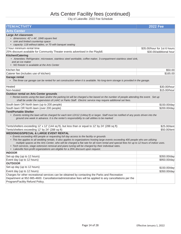# Arts Center Facility fees (continued)

| <b>Arts Center</b><br><b>Large Art classroom</b><br>· dimensions: 42' x 44', 1848 square feet<br>• sink and limited countertop space<br>• capacity: 118 without tables, or 70 with banquet seating<br>2 hour minimum rental time                                                                                                                                                                                                                                                                                                                                                                                                   |                                                         |
|------------------------------------------------------------------------------------------------------------------------------------------------------------------------------------------------------------------------------------------------------------------------------------------------------------------------------------------------------------------------------------------------------------------------------------------------------------------------------------------------------------------------------------------------------------------------------------------------------------------------------------|---------------------------------------------------------|
|                                                                                                                                                                                                                                                                                                                                                                                                                                                                                                                                                                                                                                    |                                                         |
|                                                                                                                                                                                                                                                                                                                                                                                                                                                                                                                                                                                                                                    |                                                         |
| 25% discount available for Community Theater events advertised in the Playbill.                                                                                                                                                                                                                                                                                                                                                                                                                                                                                                                                                    | \$35.00/hour for 1st 6 hours<br>\$30.00/additional hour |
| <b>Kitchen/Catering</b>                                                                                                                                                                                                                                                                                                                                                                                                                                                                                                                                                                                                            |                                                         |
| • Amenities: Refrigerator, microwave, stainless steel worktable, coffee maker, 3-compartment stainless steel sink,<br>and an ice maker<br>• NO freezer is available at the Arts Center                                                                                                                                                                                                                                                                                                                                                                                                                                             |                                                         |
| Kitchen fee                                                                                                                                                                                                                                                                                                                                                                                                                                                                                                                                                                                                                        | \$50.00                                                 |
| Caterer fee (includes use of kitchen)                                                                                                                                                                                                                                                                                                                                                                                                                                                                                                                                                                                              | \$165.00                                                |
| <b>Garage rental</b><br>• The three car garage can be rented for set construction when it is available. No long-term storage is provided in the garage.                                                                                                                                                                                                                                                                                                                                                                                                                                                                            |                                                         |
| Heated                                                                                                                                                                                                                                                                                                                                                                                                                                                                                                                                                                                                                             | \$30.00/hour                                            |
| Non-heated                                                                                                                                                                                                                                                                                                                                                                                                                                                                                                                                                                                                                         | \$15.00/hour                                            |
| <b>Outdoor rental on Arts Center grounds</b><br>• Rental events using the lawn and/or the parking lot will be charged a fee based on the number of people attending the event. Set up<br>shall be under the supervision of LAAC or Parks Staff. Electric service may require additional set fees.                                                                                                                                                                                                                                                                                                                                  |                                                         |
| South lawn OR North lawn (up to 200 people)                                                                                                                                                                                                                                                                                                                                                                                                                                                                                                                                                                                        | \$150.00/day                                            |
| South lawn OR North lawn (over 200 people)                                                                                                                                                                                                                                                                                                                                                                                                                                                                                                                                                                                         | \$200.00/day                                            |
| <b>Tent/Portable Shelter</b><br>• Events renting the lawn will be charged for each tent 12X12 (144sq ft) or larger. Staff must be notified of any posts driven into the<br>ground one week in advance. It is the renter's responsibility to call utilities to be marked                                                                                                                                                                                                                                                                                                                                                            |                                                         |
| Tents/shelters exceeding 12' x 12' (144 sq ft), but less than or equal to 12' by 24' (288 sq ft)                                                                                                                                                                                                                                                                                                                                                                                                                                                                                                                                   | \$25.00/tent                                            |
| Tents/shelters exceeding 12' by 24' (288 sq ft)                                                                                                                                                                                                                                                                                                                                                                                                                                                                                                                                                                                    | \$50.00/tent                                            |
| <b>WEDDINGS/SPECIAL &amp; LARGE EVENT RENTAL</b><br>• Events exceeding 400 people or requesting full day access to the facility or grounds<br>· This fee applies to all wedding rentals. It also applies to organizations hosting large events exceeding 400 people who are utilizing<br>multiple spaces at the Arts Center, who will be charged a flat rate for all room rental and special fees for up to 12 hours of indoor uses.<br>• Tech services, stage eztension removal and piano tuning will be charged by their individual rates.<br>• Lakeville Non-profit organizations are eligible for a 25% discount upon request. |                                                         |
| <b>INDOOR</b>                                                                                                                                                                                                                                                                                                                                                                                                                                                                                                                                                                                                                      |                                                         |
| Set-up day (up to 12 hours)                                                                                                                                                                                                                                                                                                                                                                                                                                                                                                                                                                                                        | \$350.00/day                                            |
| Event day (up to 12 hours)                                                                                                                                                                                                                                                                                                                                                                                                                                                                                                                                                                                                         | \$950.00/day                                            |
| <b>OUTDOOR</b>                                                                                                                                                                                                                                                                                                                                                                                                                                                                                                                                                                                                                     |                                                         |
| Set-up day (up to 12 hours)                                                                                                                                                                                                                                                                                                                                                                                                                                                                                                                                                                                                        | \$150.00/day                                            |
| Event day (up to 12 hours)                                                                                                                                                                                                                                                                                                                                                                                                                                                                                                                                                                                                         | \$350.00/day                                            |
| Charges for other recreational services can be obtained by contacting the Parks and Recreation                                                                                                                                                                                                                                                                                                                                                                                                                                                                                                                                     |                                                         |
| Department at 952-985-4600. Cancellation/administrative fees will be applied to any cancellations per the<br>Program/Facility Refund Policy.                                                                                                                                                                                                                                                                                                                                                                                                                                                                                       |                                                         |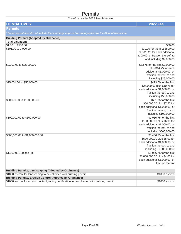## **Permits**

| <b>ITEM/ACTIVITY</b>                                                                                            | <b>2022 Fee</b>                                                      |
|-----------------------------------------------------------------------------------------------------------------|----------------------------------------------------------------------|
| Permits                                                                                                         |                                                                      |
| <sup>t</sup> Stated permit fees do not include the surcharge imposed on such permits by the State of Minnesota. |                                                                      |
| <b>Building Permits (Adopted by Ordinance)</b>                                                                  |                                                                      |
| <b>Total Valuation:</b>                                                                                         |                                                                      |
| \$1.00 to \$500.00                                                                                              | \$30.00                                                              |
| \$501.00 to 2,000.00                                                                                            | \$30.00 for the first \$500.00                                       |
|                                                                                                                 | plus \$3.25 for each additional<br>\$100.00, or fraction thereof, to |
|                                                                                                                 | and including \$2,000.00                                             |
|                                                                                                                 |                                                                      |
| \$2,001.00 to \$25,000.00                                                                                       | \$73.75 for the first \$2,000.00                                     |
|                                                                                                                 | plus \$14.75 for each<br>additional \$1,000.00, or                   |
|                                                                                                                 | fraction thereof, to and                                             |
|                                                                                                                 | including \$25,000.00                                                |
| \$25,001.00 to \$50,000.00                                                                                      | \$413.00 for the first                                               |
|                                                                                                                 | \$25,000.00 plus \$10.75 for                                         |
|                                                                                                                 | each additional \$1,000.00, or                                       |
|                                                                                                                 | fraction thereof, to and                                             |
| \$50,001.00 to \$100,000.00                                                                                     | including \$50,000.00<br>\$681.75 for the first                      |
|                                                                                                                 | \$50,000.00 plus \$7.50 for                                          |
|                                                                                                                 | each additional \$1,000.00, or                                       |
|                                                                                                                 | fraction thereof, to and                                             |
|                                                                                                                 | including \$100,000.00                                               |
| \$100,001.00 to \$500,000.00                                                                                    | \$1,056.75 for the first                                             |
|                                                                                                                 | \$100,000.00 plus \$6.00 for                                         |
|                                                                                                                 | each additional \$1,000.00, or<br>fraction thereof, to and           |
|                                                                                                                 | including \$500,000.00                                               |
| \$500,001.00 to \$1,000,000.00                                                                                  | \$3,456.75 for the first                                             |
|                                                                                                                 | \$500,000.00 plus \$5.00 for                                         |
|                                                                                                                 | each additional \$1,000.00, or                                       |
|                                                                                                                 | fraction thereof, to and                                             |
|                                                                                                                 | including \$1,000,000.00                                             |
| \$1,000,001.00 and up                                                                                           | \$5,956.75 for the first<br>\$1,000,000.00 plus \$4.00 for           |
|                                                                                                                 | each additional \$1,000.00, or                                       |
|                                                                                                                 | fraction thereof                                                     |
|                                                                                                                 |                                                                      |
| <b>Building Permits, Landscaping (Adopted by Ordinance)</b>                                                     |                                                                      |
| \$1000 escrow for landscaping to be collected with building permit                                              | \$1000 escrow                                                        |
| <b>Building Permits, Erosion Control (Adopted by Ordinance)</b>                                                 |                                                                      |
| \$1000 escrow for erosion control/grading certification to be collected with building permit.                   | \$1000 escrow                                                        |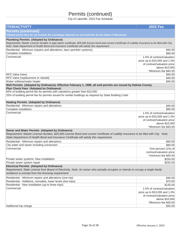# Permits (continued)

| <b>ITEM/ACTIVITY</b>                                                                                                                                                                                                                                                                                           | <b>2022 Fee</b>                                                                                                                      |
|----------------------------------------------------------------------------------------------------------------------------------------------------------------------------------------------------------------------------------------------------------------------------------------------------------------|--------------------------------------------------------------------------------------------------------------------------------------|
| <b>Permits (continued)</b>                                                                                                                                                                                                                                                                                     |                                                                                                                                      |
| *Stated permit fees do not include the surcharge imposed on such permits by the State of Minnesota.                                                                                                                                                                                                            |                                                                                                                                      |
| <b>Plumbing Permits (Adopted by Ordinance)</b><br>Requirement: Master License Number or pipe layers certificate, \$25,000 license bond and current Certificate of Liability Insurance to be filed with City.<br>Note: State Department of Health Bond and Insurance Certificate will satisfy this requirement. |                                                                                                                                      |
| Residential - Minimum (repairs and alterations, lawn sprinkler systems)                                                                                                                                                                                                                                        | \$40.00                                                                                                                              |
| Complete installation                                                                                                                                                                                                                                                                                          | \$90.00                                                                                                                              |
| Commercial                                                                                                                                                                                                                                                                                                     | 1.5% of contract/valuation<br>price up to \$10,000 and 1.0%<br>of contract/valuation price<br>above \$10,000<br>*Minimum fee \$40.00 |
| RPZ Valve (new)                                                                                                                                                                                                                                                                                                | \$40.00                                                                                                                              |
| RPZ Valve (replacement or rebuild)                                                                                                                                                                                                                                                                             | \$40.00                                                                                                                              |
| Water softener/water heater                                                                                                                                                                                                                                                                                    | \$40.00                                                                                                                              |
| Well Permits (Adopted by Ordinance)- Effective February 1, 1989, all well permits are issued by Dakota County.                                                                                                                                                                                                 |                                                                                                                                      |
| <b>Plan Check Fees (Adopted by Ordinance)</b>                                                                                                                                                                                                                                                                  |                                                                                                                                      |
| 65% of building permit fee for permits with valuations greater than \$10,000.                                                                                                                                                                                                                                  |                                                                                                                                      |
| 25% of building permit fee for permits issued for similar buildings as required by State Building Code.                                                                                                                                                                                                        |                                                                                                                                      |
| <b>Heating Permits (Adopted by Ordinance)</b>                                                                                                                                                                                                                                                                  |                                                                                                                                      |
| Residential - Minimum repairs and alterations                                                                                                                                                                                                                                                                  | \$40.00                                                                                                                              |
| Complete installation                                                                                                                                                                                                                                                                                          | \$90.00                                                                                                                              |
| Commercial                                                                                                                                                                                                                                                                                                     | 1.5% of contract/valuation<br>price up to \$10,000 and 1.0%<br>of contract/valuation price<br>above \$10,000                         |
|                                                                                                                                                                                                                                                                                                                | *Minimum fee \$40.00                                                                                                                 |
| Sewer and Water Permits (Adopted by Ordinance)<br>Requirement: Master License Number, \$25,000 License Bond and current Certificate of Liability Insurance to be filed with City. Note:<br>State Department of Health Bond and Insurance Certificate will satisfy this requirement.                            |                                                                                                                                      |
| Residential - Minimum repairs and alterations                                                                                                                                                                                                                                                                  | \$40.00                                                                                                                              |
| City water and sewer including conversion                                                                                                                                                                                                                                                                      | \$90.00                                                                                                                              |
| Commercial                                                                                                                                                                                                                                                                                                     | One percent (1%) of<br>contract/valuation price<br>*minimum fee \$40.00                                                              |
| Private sewer systems: New installation                                                                                                                                                                                                                                                                        | \$250.00                                                                                                                             |
| Private sewer system repair                                                                                                                                                                                                                                                                                    | \$250.00                                                                                                                             |
| <b>Electrical Permits (Adopted by Ordinance)</b><br>Requirement: State License from Board of Electricity. Note: An owner who actually occupies or intends to occupy a single family<br>residence is exempt from the licensing requirement.                                                                     |                                                                                                                                      |
| Residential - Minimum repairs and alterations (one trip)                                                                                                                                                                                                                                                       | \$40.00                                                                                                                              |
| Residential - Additions, remodels, lower levels (two trips)                                                                                                                                                                                                                                                    | \$70.00                                                                                                                              |
| Residential - New installation (up to three trips)                                                                                                                                                                                                                                                             | \$135.00                                                                                                                             |
| Commercial                                                                                                                                                                                                                                                                                                     | 1.5% of contract/valuation<br>price up to \$10,000 and 1.0%<br>of contract/valuation price<br>above \$10,000<br>*Minimum fee \$40.00 |
| Additional trip charge                                                                                                                                                                                                                                                                                         | \$35.00                                                                                                                              |
|                                                                                                                                                                                                                                                                                                                |                                                                                                                                      |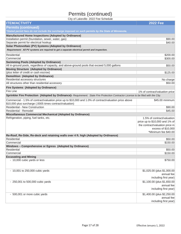# Permits (continued)

| <b>ITEM/ACTIVITY</b><br><b>2022 Fee</b><br><b>Permits (continued)</b><br>*Stated permit fees do not include the surcharge imposed on such permits by the State of Minnesota.<br>Manufactured Home Inspections (Adopted by Ordinance)<br>\$90.00<br>Installation permit (foundation, sewer, water, gas)<br>Separate permit for electrical hookup<br>\$40.00<br>Solar Photovoltaic (PV) Systems (Adopted by Ordinance)<br>Requirement: All PV systems are required to get a separate electrical permit and inspection.<br>Residential<br>\$200.00<br>Commercial<br>\$300.00<br><b>Swimming Pools (Adopted by Ordinance)</b><br>All in-ground pools, regardless of capacity, and above-ground pools that exceed 5,000 gallons<br>\$50.00<br><b>Moving Structure (Adopted by Ordinance)</b><br>(plus letter of credit or cash escrow)<br>\$125.00<br><b>Demolition (Adopted by Ordinance)</b><br>Residential accessory structures<br>No charge<br>All structures other than residential accessory<br>\$50.00<br>Fire Systems (Adopted by Ordinance)<br>Fire Line<br>1% of contract/valuation price<br>Sprinkler Fire Protection (Adopted by Ordinance)- Requirement: State Fire Protection Contractor License to be filed with the City.<br>Commercial - 1.5% of contract/valuation price up to \$10,000 and 1.0% of contract/valuation price above<br>\$45.00 minimum<br>\$10,000 plus surcharge (.0005 times contract/valuation)<br><b>Residential - New Construction</b><br>\$90.00<br>Residential - Remodel<br>\$45.00<br>Miscellaneous Commercial Mechanical (Adopted by Ordinance)<br>Refrigeration, piping, fuel tanks, etc.<br>1.5% of contract/valuation<br>price up to \$10,000 and 1% of<br>*Minimum fee \$40.00<br>Re-Roof, Re-Side, Re-deck and retaining walls over 4 ft. high (Adopted by Ordinance)<br>Residential<br>\$50.00<br>Commercial<br>\$150.00<br>Windows - Comprehensive or Egress (Adopted by Ordinance)<br>Residential<br>\$50.00<br>Commercial<br>\$150.00<br><b>Excavating and Mining</b><br>- 10,000 cubic yards or less<br>\$750.00<br>- 10,001 to 250,000 cubic yards<br>\$1,025.00 (plus \$1,000.00<br>annual fee<br>including first year)<br>\$1,100.00 (plus \$1,650.00<br>- 250,001 to 500,000 cubic yards<br>annual fee<br>- 500,001 or more cubic yards<br>\$1,400.00 (plus \$2,250.00<br>annual fee | City of Lakeville- 2022 Fee Schedule |                       |
|-----------------------------------------------------------------------------------------------------------------------------------------------------------------------------------------------------------------------------------------------------------------------------------------------------------------------------------------------------------------------------------------------------------------------------------------------------------------------------------------------------------------------------------------------------------------------------------------------------------------------------------------------------------------------------------------------------------------------------------------------------------------------------------------------------------------------------------------------------------------------------------------------------------------------------------------------------------------------------------------------------------------------------------------------------------------------------------------------------------------------------------------------------------------------------------------------------------------------------------------------------------------------------------------------------------------------------------------------------------------------------------------------------------------------------------------------------------------------------------------------------------------------------------------------------------------------------------------------------------------------------------------------------------------------------------------------------------------------------------------------------------------------------------------------------------------------------------------------------------------------------------------------------------------------------------------------------------------------------------------------------------------------------------------------------------------------------------------------------------------------------------------------------------------------------------------------------------------------------------------------------------------------------------------------------------------------------------------|--------------------------------------|-----------------------|
|                                                                                                                                                                                                                                                                                                                                                                                                                                                                                                                                                                                                                                                                                                                                                                                                                                                                                                                                                                                                                                                                                                                                                                                                                                                                                                                                                                                                                                                                                                                                                                                                                                                                                                                                                                                                                                                                                                                                                                                                                                                                                                                                                                                                                                                                                                                                         |                                      |                       |
|                                                                                                                                                                                                                                                                                                                                                                                                                                                                                                                                                                                                                                                                                                                                                                                                                                                                                                                                                                                                                                                                                                                                                                                                                                                                                                                                                                                                                                                                                                                                                                                                                                                                                                                                                                                                                                                                                                                                                                                                                                                                                                                                                                                                                                                                                                                                         |                                      |                       |
| the contract/valuation price in<br>excess of \$10,000<br>including first year)                                                                                                                                                                                                                                                                                                                                                                                                                                                                                                                                                                                                                                                                                                                                                                                                                                                                                                                                                                                                                                                                                                                                                                                                                                                                                                                                                                                                                                                                                                                                                                                                                                                                                                                                                                                                                                                                                                                                                                                                                                                                                                                                                                                                                                                          |                                      |                       |
|                                                                                                                                                                                                                                                                                                                                                                                                                                                                                                                                                                                                                                                                                                                                                                                                                                                                                                                                                                                                                                                                                                                                                                                                                                                                                                                                                                                                                                                                                                                                                                                                                                                                                                                                                                                                                                                                                                                                                                                                                                                                                                                                                                                                                                                                                                                                         |                                      |                       |
|                                                                                                                                                                                                                                                                                                                                                                                                                                                                                                                                                                                                                                                                                                                                                                                                                                                                                                                                                                                                                                                                                                                                                                                                                                                                                                                                                                                                                                                                                                                                                                                                                                                                                                                                                                                                                                                                                                                                                                                                                                                                                                                                                                                                                                                                                                                                         |                                      |                       |
|                                                                                                                                                                                                                                                                                                                                                                                                                                                                                                                                                                                                                                                                                                                                                                                                                                                                                                                                                                                                                                                                                                                                                                                                                                                                                                                                                                                                                                                                                                                                                                                                                                                                                                                                                                                                                                                                                                                                                                                                                                                                                                                                                                                                                                                                                                                                         |                                      |                       |
|                                                                                                                                                                                                                                                                                                                                                                                                                                                                                                                                                                                                                                                                                                                                                                                                                                                                                                                                                                                                                                                                                                                                                                                                                                                                                                                                                                                                                                                                                                                                                                                                                                                                                                                                                                                                                                                                                                                                                                                                                                                                                                                                                                                                                                                                                                                                         |                                      |                       |
|                                                                                                                                                                                                                                                                                                                                                                                                                                                                                                                                                                                                                                                                                                                                                                                                                                                                                                                                                                                                                                                                                                                                                                                                                                                                                                                                                                                                                                                                                                                                                                                                                                                                                                                                                                                                                                                                                                                                                                                                                                                                                                                                                                                                                                                                                                                                         |                                      |                       |
|                                                                                                                                                                                                                                                                                                                                                                                                                                                                                                                                                                                                                                                                                                                                                                                                                                                                                                                                                                                                                                                                                                                                                                                                                                                                                                                                                                                                                                                                                                                                                                                                                                                                                                                                                                                                                                                                                                                                                                                                                                                                                                                                                                                                                                                                                                                                         |                                      |                       |
|                                                                                                                                                                                                                                                                                                                                                                                                                                                                                                                                                                                                                                                                                                                                                                                                                                                                                                                                                                                                                                                                                                                                                                                                                                                                                                                                                                                                                                                                                                                                                                                                                                                                                                                                                                                                                                                                                                                                                                                                                                                                                                                                                                                                                                                                                                                                         |                                      |                       |
|                                                                                                                                                                                                                                                                                                                                                                                                                                                                                                                                                                                                                                                                                                                                                                                                                                                                                                                                                                                                                                                                                                                                                                                                                                                                                                                                                                                                                                                                                                                                                                                                                                                                                                                                                                                                                                                                                                                                                                                                                                                                                                                                                                                                                                                                                                                                         |                                      |                       |
|                                                                                                                                                                                                                                                                                                                                                                                                                                                                                                                                                                                                                                                                                                                                                                                                                                                                                                                                                                                                                                                                                                                                                                                                                                                                                                                                                                                                                                                                                                                                                                                                                                                                                                                                                                                                                                                                                                                                                                                                                                                                                                                                                                                                                                                                                                                                         |                                      |                       |
|                                                                                                                                                                                                                                                                                                                                                                                                                                                                                                                                                                                                                                                                                                                                                                                                                                                                                                                                                                                                                                                                                                                                                                                                                                                                                                                                                                                                                                                                                                                                                                                                                                                                                                                                                                                                                                                                                                                                                                                                                                                                                                                                                                                                                                                                                                                                         |                                      |                       |
|                                                                                                                                                                                                                                                                                                                                                                                                                                                                                                                                                                                                                                                                                                                                                                                                                                                                                                                                                                                                                                                                                                                                                                                                                                                                                                                                                                                                                                                                                                                                                                                                                                                                                                                                                                                                                                                                                                                                                                                                                                                                                                                                                                                                                                                                                                                                         |                                      |                       |
|                                                                                                                                                                                                                                                                                                                                                                                                                                                                                                                                                                                                                                                                                                                                                                                                                                                                                                                                                                                                                                                                                                                                                                                                                                                                                                                                                                                                                                                                                                                                                                                                                                                                                                                                                                                                                                                                                                                                                                                                                                                                                                                                                                                                                                                                                                                                         |                                      |                       |
|                                                                                                                                                                                                                                                                                                                                                                                                                                                                                                                                                                                                                                                                                                                                                                                                                                                                                                                                                                                                                                                                                                                                                                                                                                                                                                                                                                                                                                                                                                                                                                                                                                                                                                                                                                                                                                                                                                                                                                                                                                                                                                                                                                                                                                                                                                                                         |                                      |                       |
|                                                                                                                                                                                                                                                                                                                                                                                                                                                                                                                                                                                                                                                                                                                                                                                                                                                                                                                                                                                                                                                                                                                                                                                                                                                                                                                                                                                                                                                                                                                                                                                                                                                                                                                                                                                                                                                                                                                                                                                                                                                                                                                                                                                                                                                                                                                                         |                                      |                       |
|                                                                                                                                                                                                                                                                                                                                                                                                                                                                                                                                                                                                                                                                                                                                                                                                                                                                                                                                                                                                                                                                                                                                                                                                                                                                                                                                                                                                                                                                                                                                                                                                                                                                                                                                                                                                                                                                                                                                                                                                                                                                                                                                                                                                                                                                                                                                         |                                      |                       |
|                                                                                                                                                                                                                                                                                                                                                                                                                                                                                                                                                                                                                                                                                                                                                                                                                                                                                                                                                                                                                                                                                                                                                                                                                                                                                                                                                                                                                                                                                                                                                                                                                                                                                                                                                                                                                                                                                                                                                                                                                                                                                                                                                                                                                                                                                                                                         |                                      |                       |
|                                                                                                                                                                                                                                                                                                                                                                                                                                                                                                                                                                                                                                                                                                                                                                                                                                                                                                                                                                                                                                                                                                                                                                                                                                                                                                                                                                                                                                                                                                                                                                                                                                                                                                                                                                                                                                                                                                                                                                                                                                                                                                                                                                                                                                                                                                                                         |                                      |                       |
|                                                                                                                                                                                                                                                                                                                                                                                                                                                                                                                                                                                                                                                                                                                                                                                                                                                                                                                                                                                                                                                                                                                                                                                                                                                                                                                                                                                                                                                                                                                                                                                                                                                                                                                                                                                                                                                                                                                                                                                                                                                                                                                                                                                                                                                                                                                                         |                                      |                       |
|                                                                                                                                                                                                                                                                                                                                                                                                                                                                                                                                                                                                                                                                                                                                                                                                                                                                                                                                                                                                                                                                                                                                                                                                                                                                                                                                                                                                                                                                                                                                                                                                                                                                                                                                                                                                                                                                                                                                                                                                                                                                                                                                                                                                                                                                                                                                         |                                      |                       |
|                                                                                                                                                                                                                                                                                                                                                                                                                                                                                                                                                                                                                                                                                                                                                                                                                                                                                                                                                                                                                                                                                                                                                                                                                                                                                                                                                                                                                                                                                                                                                                                                                                                                                                                                                                                                                                                                                                                                                                                                                                                                                                                                                                                                                                                                                                                                         |                                      |                       |
|                                                                                                                                                                                                                                                                                                                                                                                                                                                                                                                                                                                                                                                                                                                                                                                                                                                                                                                                                                                                                                                                                                                                                                                                                                                                                                                                                                                                                                                                                                                                                                                                                                                                                                                                                                                                                                                                                                                                                                                                                                                                                                                                                                                                                                                                                                                                         |                                      |                       |
|                                                                                                                                                                                                                                                                                                                                                                                                                                                                                                                                                                                                                                                                                                                                                                                                                                                                                                                                                                                                                                                                                                                                                                                                                                                                                                                                                                                                                                                                                                                                                                                                                                                                                                                                                                                                                                                                                                                                                                                                                                                                                                                                                                                                                                                                                                                                         |                                      |                       |
|                                                                                                                                                                                                                                                                                                                                                                                                                                                                                                                                                                                                                                                                                                                                                                                                                                                                                                                                                                                                                                                                                                                                                                                                                                                                                                                                                                                                                                                                                                                                                                                                                                                                                                                                                                                                                                                                                                                                                                                                                                                                                                                                                                                                                                                                                                                                         |                                      |                       |
|                                                                                                                                                                                                                                                                                                                                                                                                                                                                                                                                                                                                                                                                                                                                                                                                                                                                                                                                                                                                                                                                                                                                                                                                                                                                                                                                                                                                                                                                                                                                                                                                                                                                                                                                                                                                                                                                                                                                                                                                                                                                                                                                                                                                                                                                                                                                         |                                      |                       |
|                                                                                                                                                                                                                                                                                                                                                                                                                                                                                                                                                                                                                                                                                                                                                                                                                                                                                                                                                                                                                                                                                                                                                                                                                                                                                                                                                                                                                                                                                                                                                                                                                                                                                                                                                                                                                                                                                                                                                                                                                                                                                                                                                                                                                                                                                                                                         |                                      |                       |
|                                                                                                                                                                                                                                                                                                                                                                                                                                                                                                                                                                                                                                                                                                                                                                                                                                                                                                                                                                                                                                                                                                                                                                                                                                                                                                                                                                                                                                                                                                                                                                                                                                                                                                                                                                                                                                                                                                                                                                                                                                                                                                                                                                                                                                                                                                                                         |                                      |                       |
|                                                                                                                                                                                                                                                                                                                                                                                                                                                                                                                                                                                                                                                                                                                                                                                                                                                                                                                                                                                                                                                                                                                                                                                                                                                                                                                                                                                                                                                                                                                                                                                                                                                                                                                                                                                                                                                                                                                                                                                                                                                                                                                                                                                                                                                                                                                                         |                                      |                       |
|                                                                                                                                                                                                                                                                                                                                                                                                                                                                                                                                                                                                                                                                                                                                                                                                                                                                                                                                                                                                                                                                                                                                                                                                                                                                                                                                                                                                                                                                                                                                                                                                                                                                                                                                                                                                                                                                                                                                                                                                                                                                                                                                                                                                                                                                                                                                         |                                      |                       |
|                                                                                                                                                                                                                                                                                                                                                                                                                                                                                                                                                                                                                                                                                                                                                                                                                                                                                                                                                                                                                                                                                                                                                                                                                                                                                                                                                                                                                                                                                                                                                                                                                                                                                                                                                                                                                                                                                                                                                                                                                                                                                                                                                                                                                                                                                                                                         |                                      |                       |
|                                                                                                                                                                                                                                                                                                                                                                                                                                                                                                                                                                                                                                                                                                                                                                                                                                                                                                                                                                                                                                                                                                                                                                                                                                                                                                                                                                                                                                                                                                                                                                                                                                                                                                                                                                                                                                                                                                                                                                                                                                                                                                                                                                                                                                                                                                                                         |                                      |                       |
|                                                                                                                                                                                                                                                                                                                                                                                                                                                                                                                                                                                                                                                                                                                                                                                                                                                                                                                                                                                                                                                                                                                                                                                                                                                                                                                                                                                                                                                                                                                                                                                                                                                                                                                                                                                                                                                                                                                                                                                                                                                                                                                                                                                                                                                                                                                                         |                                      |                       |
|                                                                                                                                                                                                                                                                                                                                                                                                                                                                                                                                                                                                                                                                                                                                                                                                                                                                                                                                                                                                                                                                                                                                                                                                                                                                                                                                                                                                                                                                                                                                                                                                                                                                                                                                                                                                                                                                                                                                                                                                                                                                                                                                                                                                                                                                                                                                         |                                      |                       |
|                                                                                                                                                                                                                                                                                                                                                                                                                                                                                                                                                                                                                                                                                                                                                                                                                                                                                                                                                                                                                                                                                                                                                                                                                                                                                                                                                                                                                                                                                                                                                                                                                                                                                                                                                                                                                                                                                                                                                                                                                                                                                                                                                                                                                                                                                                                                         |                                      |                       |
|                                                                                                                                                                                                                                                                                                                                                                                                                                                                                                                                                                                                                                                                                                                                                                                                                                                                                                                                                                                                                                                                                                                                                                                                                                                                                                                                                                                                                                                                                                                                                                                                                                                                                                                                                                                                                                                                                                                                                                                                                                                                                                                                                                                                                                                                                                                                         |                                      |                       |
|                                                                                                                                                                                                                                                                                                                                                                                                                                                                                                                                                                                                                                                                                                                                                                                                                                                                                                                                                                                                                                                                                                                                                                                                                                                                                                                                                                                                                                                                                                                                                                                                                                                                                                                                                                                                                                                                                                                                                                                                                                                                                                                                                                                                                                                                                                                                         |                                      |                       |
|                                                                                                                                                                                                                                                                                                                                                                                                                                                                                                                                                                                                                                                                                                                                                                                                                                                                                                                                                                                                                                                                                                                                                                                                                                                                                                                                                                                                                                                                                                                                                                                                                                                                                                                                                                                                                                                                                                                                                                                                                                                                                                                                                                                                                                                                                                                                         |                                      |                       |
|                                                                                                                                                                                                                                                                                                                                                                                                                                                                                                                                                                                                                                                                                                                                                                                                                                                                                                                                                                                                                                                                                                                                                                                                                                                                                                                                                                                                                                                                                                                                                                                                                                                                                                                                                                                                                                                                                                                                                                                                                                                                                                                                                                                                                                                                                                                                         |                                      |                       |
|                                                                                                                                                                                                                                                                                                                                                                                                                                                                                                                                                                                                                                                                                                                                                                                                                                                                                                                                                                                                                                                                                                                                                                                                                                                                                                                                                                                                                                                                                                                                                                                                                                                                                                                                                                                                                                                                                                                                                                                                                                                                                                                                                                                                                                                                                                                                         |                                      |                       |
|                                                                                                                                                                                                                                                                                                                                                                                                                                                                                                                                                                                                                                                                                                                                                                                                                                                                                                                                                                                                                                                                                                                                                                                                                                                                                                                                                                                                                                                                                                                                                                                                                                                                                                                                                                                                                                                                                                                                                                                                                                                                                                                                                                                                                                                                                                                                         |                                      |                       |
|                                                                                                                                                                                                                                                                                                                                                                                                                                                                                                                                                                                                                                                                                                                                                                                                                                                                                                                                                                                                                                                                                                                                                                                                                                                                                                                                                                                                                                                                                                                                                                                                                                                                                                                                                                                                                                                                                                                                                                                                                                                                                                                                                                                                                                                                                                                                         |                                      |                       |
|                                                                                                                                                                                                                                                                                                                                                                                                                                                                                                                                                                                                                                                                                                                                                                                                                                                                                                                                                                                                                                                                                                                                                                                                                                                                                                                                                                                                                                                                                                                                                                                                                                                                                                                                                                                                                                                                                                                                                                                                                                                                                                                                                                                                                                                                                                                                         |                                      |                       |
|                                                                                                                                                                                                                                                                                                                                                                                                                                                                                                                                                                                                                                                                                                                                                                                                                                                                                                                                                                                                                                                                                                                                                                                                                                                                                                                                                                                                                                                                                                                                                                                                                                                                                                                                                                                                                                                                                                                                                                                                                                                                                                                                                                                                                                                                                                                                         |                                      |                       |
|                                                                                                                                                                                                                                                                                                                                                                                                                                                                                                                                                                                                                                                                                                                                                                                                                                                                                                                                                                                                                                                                                                                                                                                                                                                                                                                                                                                                                                                                                                                                                                                                                                                                                                                                                                                                                                                                                                                                                                                                                                                                                                                                                                                                                                                                                                                                         |                                      |                       |
|                                                                                                                                                                                                                                                                                                                                                                                                                                                                                                                                                                                                                                                                                                                                                                                                                                                                                                                                                                                                                                                                                                                                                                                                                                                                                                                                                                                                                                                                                                                                                                                                                                                                                                                                                                                                                                                                                                                                                                                                                                                                                                                                                                                                                                                                                                                                         |                                      | including first year) |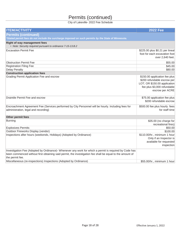## Permits (continued)

| <b>ITEM/ACTIVITY</b>                                                                                                                                                                                                                   | <b>2022 Fee</b>                                                                                                                                |
|----------------------------------------------------------------------------------------------------------------------------------------------------------------------------------------------------------------------------------------|------------------------------------------------------------------------------------------------------------------------------------------------|
| <b>Permits (continued)</b>                                                                                                                                                                                                             |                                                                                                                                                |
| *Stated permit fees do not include the surcharge imposed on such permits by the State of Minnesota.                                                                                                                                    |                                                                                                                                                |
| <b>Right of way management fees</b><br>• Note: Security required pursuant to ordinance 7-15-13.B.2                                                                                                                                     |                                                                                                                                                |
| <b>Excavation Permit Fee</b>                                                                                                                                                                                                           | \$225.00 plus \$0.21 per lineal<br>foot for each excavation foot<br>over 2,640 feet.                                                           |
| <b>Obstruction Permit Fee</b>                                                                                                                                                                                                          | \$55.00                                                                                                                                        |
| <b>Registration Filing Fee</b>                                                                                                                                                                                                         | \$45.00                                                                                                                                        |
| <b>Delay Penalty</b>                                                                                                                                                                                                                   | \$80.00                                                                                                                                        |
| <b>Construction application fees</b>                                                                                                                                                                                                   |                                                                                                                                                |
| Grading Permit Application Fee and escrow                                                                                                                                                                                              | \$150.00 application fee plus<br>\$200 refundable escrow per<br>LOT; OR \$150.00 application<br>fee plus \$3,000 refundable<br>escrow per ACRE |
| Draintile Permit Fee and escrow                                                                                                                                                                                                        | \$75.00 application fee plus<br>\$200 refundable escrow                                                                                        |
| Encroachment Agreement Fee (Services performed by City Personnel will be hourly. Including fees for<br>administration, legal and recording)                                                                                            | \$500.00 fee plus hourly fees<br>for staff time                                                                                                |
| Other permit fees                                                                                                                                                                                                                      |                                                                                                                                                |
| <b>Burning</b>                                                                                                                                                                                                                         | \$35.00 (no charge for<br>recreational fires)                                                                                                  |
| <b>Explosives Permits</b>                                                                                                                                                                                                              | \$50.00                                                                                                                                        |
| Outdoor Fireworks Display (vendor)                                                                                                                                                                                                     | \$100.00                                                                                                                                       |
| Inspections after hours (weekends, Holidays) (Adopted by Ordinance)                                                                                                                                                                    | \$110.00/hr., minimum 1 hour<br>Only if an Inspector is<br>available for requested<br>inspection                                               |
| Investigation Fee (Adopted by Ordinance)- Whenever any work for which a permit is required by Code has<br>been commenced without first obtaining said permit, the investigation fee shall be equal to the amount of<br>the permit fee. |                                                                                                                                                |
| Miscellaneous (re-inspections) Inspections (Adopted by Ordinance)                                                                                                                                                                      | \$55.00/hr., minimum 1 hour                                                                                                                    |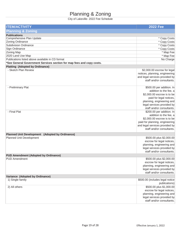# Planning & Zoning

| <b>Planning &amp; Zoning</b><br><b>Publications</b><br>Comprehensive Plan Update<br>* Copy Costs<br>Zoning Ordinance<br>* Copy Costs<br>Subdivision Ordinance<br>* Copy Costs<br>Sign Ordinance<br>* Copy Costs |
|-----------------------------------------------------------------------------------------------------------------------------------------------------------------------------------------------------------------|
|                                                                                                                                                                                                                 |
|                                                                                                                                                                                                                 |
|                                                                                                                                                                                                                 |
|                                                                                                                                                                                                                 |
|                                                                                                                                                                                                                 |
|                                                                                                                                                                                                                 |
| Zoning Map<br>* Map Fee                                                                                                                                                                                         |
| 2020 Land Use Map<br>* Map Fee<br>Publications listed above available in CD format                                                                                                                              |
| No Charge                                                                                                                                                                                                       |
| *See General Government Services section for map fees and copy costs.                                                                                                                                           |
| <b>Platting (Adopted by Ordinance)</b><br>- Sketch Plan Review<br>\$2,000.00 escrow for legal                                                                                                                   |
| notices, planning, engineering                                                                                                                                                                                  |
| and legal services provided by                                                                                                                                                                                  |
| staff and/or consultants.                                                                                                                                                                                       |
|                                                                                                                                                                                                                 |
| \$500.00 per addition. In<br>- Preliminary Plat                                                                                                                                                                 |
| addition to the fee, a                                                                                                                                                                                          |
| \$2,000.00 escrow is to be                                                                                                                                                                                      |
| paid for legal notices,                                                                                                                                                                                         |
| planning, engineering and                                                                                                                                                                                       |
| legal services provided by                                                                                                                                                                                      |
| staff and/or consultants.                                                                                                                                                                                       |
| \$200.00 per addition. In<br>- Final Plat                                                                                                                                                                       |
| addition to the fee, a                                                                                                                                                                                          |
| \$2,000.00 escrow is to be                                                                                                                                                                                      |
| paid for planning, engineering                                                                                                                                                                                  |
| and legal services provided by                                                                                                                                                                                  |
| staff and/or consultants.                                                                                                                                                                                       |
| <b>Planned Unit Development (Adopted by Ordinance)</b>                                                                                                                                                          |
| Planned Unit Development<br>\$500.00 plus \$2,000.00                                                                                                                                                            |
| escrow for legal notices,                                                                                                                                                                                       |
| planning, engineering and                                                                                                                                                                                       |
| legal services provided by                                                                                                                                                                                      |
| staff and/or consultants.                                                                                                                                                                                       |
| <b>PUD Amendment (Adopted by Ordinance)</b>                                                                                                                                                                     |
| <b>PUD Amendment</b><br>\$500.00 plus \$2,000.00                                                                                                                                                                |
| escrow for legal notices,<br>planning, engineering and                                                                                                                                                          |
| legal services provided by                                                                                                                                                                                      |
| staff and/or consultants.                                                                                                                                                                                       |
| Variance (Adopted by Ordinance)                                                                                                                                                                                 |
| 1) Single family<br>\$500.00 (includes legal notice                                                                                                                                                             |
| publications)                                                                                                                                                                                                   |
| 2) All others<br>\$500.00 plus \$1,000.00                                                                                                                                                                       |
| escrow for legal notices,                                                                                                                                                                                       |
| planning, engineering and                                                                                                                                                                                       |
| legal services provided by                                                                                                                                                                                      |
| staff and/or consultants.                                                                                                                                                                                       |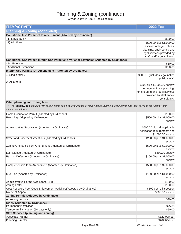| <b>ITEM/ACTIVITY</b>                                                                                                                                                   | <b>2022 Fee</b>                 |
|------------------------------------------------------------------------------------------------------------------------------------------------------------------------|---------------------------------|
| <b>Planning &amp; Zoning (continued)</b>                                                                                                                               |                                 |
| <b>Conditional Use Permit/CUP Amendment (Adopted by Ordinance)</b>                                                                                                     |                                 |
| 1) Single family                                                                                                                                                       | \$500.00                        |
| 2) All others                                                                                                                                                          | \$500.00 plus \$1,000.00        |
|                                                                                                                                                                        | escrow for legal notices,       |
|                                                                                                                                                                        | planning, engineering and       |
|                                                                                                                                                                        | legal services provided by      |
|                                                                                                                                                                        | staff and/or consultants.       |
| Conditional Use Permit, Interim Use Permit and Variance Extension (Adopted by Ordinance)                                                                               |                                 |
| - 1st Extension                                                                                                                                                        | \$50.00                         |
| - Additional Extensions                                                                                                                                                | \$250.00                        |
| Interim Use Permit / IUP Amendment (Adopted by Ordinance)                                                                                                              |                                 |
|                                                                                                                                                                        |                                 |
| 1) Single family                                                                                                                                                       | \$500.00 (includes legal notice |
|                                                                                                                                                                        | publications)                   |
| 2) All others                                                                                                                                                          | \$500 plus \$1,000.00 escrow    |
|                                                                                                                                                                        | for legal notices, planning,    |
|                                                                                                                                                                        | engineering and legal services  |
|                                                                                                                                                                        | provided by staff and/or        |
|                                                                                                                                                                        | consultants.                    |
| Other planning and zoning fees                                                                                                                                         |                                 |
|                                                                                                                                                                        |                                 |
| . The escrow fee included with certain items below is for purposes of legal notices, planning, engineering and legal services provided by staff<br>and/or consultants. |                                 |
|                                                                                                                                                                        |                                 |
| Home Occupation Permit (Adopted by Ordinance)                                                                                                                          | \$100.00                        |
| Rezoning (Adopted by Ordinance)                                                                                                                                        | \$500.00 plus \$1,000.00        |
|                                                                                                                                                                        | escrow                          |
|                                                                                                                                                                        |                                 |
| Administrative Subdivision (Adopted by Ordinance)                                                                                                                      | \$500.00 plus all applicable    |
|                                                                                                                                                                        | dedication requirements and     |
|                                                                                                                                                                        | \$1,000.00 escrow               |
| Street and Easement Vacations (Adopted by Ordinance)                                                                                                                   | \$200.00 plus \$1,000.00        |
|                                                                                                                                                                        | escrow                          |
| Zoning Ordinance Text Amendment (Adopted by Ordinance)                                                                                                                 | \$500.00 plus \$2,000.00        |
|                                                                                                                                                                        | escrow                          |
| Lot Release (Adopted by Ordinance)                                                                                                                                     | \$500.00 escrow                 |
| Parking Deferment (Adopted by Ordinance)                                                                                                                               | \$100.00 plus \$1,000.00        |
|                                                                                                                                                                        | escrow                          |
| Comprehensive Plan Amendment (Adopted by Ordinance)                                                                                                                    | \$500.00 plus \$2,000.00        |
|                                                                                                                                                                        | escrow                          |
|                                                                                                                                                                        |                                 |
| Site Plan (Adopted by Ordinance)                                                                                                                                       | \$100.00 plus \$1,000.00        |
|                                                                                                                                                                        | escrow                          |
| Administrative Permit (Ordinance 11-8-3)                                                                                                                               | \$100.00                        |
| <b>Zoning Letter</b>                                                                                                                                                   | \$100.00                        |
| Cost Recovery Fee (Code Enforcement Activities)(Adopted by Ordinance)                                                                                                  | \$100 per re-inspection         |
| Notice of Appeal                                                                                                                                                       | \$500.00 escrow                 |
| <b>Zoning Permit (Adopted by Ordinance)</b>                                                                                                                            |                                 |
| All zoning permits                                                                                                                                                     | \$30.00                         |
| <b>Signs (Adopted by Ordinance)</b>                                                                                                                                    |                                 |
| Permanent installation                                                                                                                                                 | \$75.00                         |
| Temporary installation (50 days only)                                                                                                                                  | \$50.00                         |
| <b>Staff Services (planning and zoning)</b>                                                                                                                            |                                 |
| Associate Planner                                                                                                                                                      | \$127.00/hour                   |
| <b>Planning Director</b>                                                                                                                                               | \$202.00/hour                   |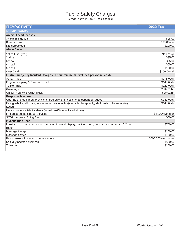# Public Safety Charges

| <b>ITEM/ACTIVITY</b>                                                                                                | <b>2022 Fee</b>       |
|---------------------------------------------------------------------------------------------------------------------|-----------------------|
| <b>Public Safety</b>                                                                                                |                       |
| <b>Animal Fees/Licenses</b>                                                                                         |                       |
| Animal pickup fee                                                                                                   | \$25.00               |
| Boarding fee                                                                                                        | \$25.00/day           |
| Dangerous dog                                                                                                       | \$100.00              |
| <b>Alarm System</b>                                                                                                 |                       |
| 1st call (per year)                                                                                                 | No charge             |
| 2nd call                                                                                                            | \$35.00               |
| 3rd call                                                                                                            | \$35.00               |
| 4th call                                                                                                            | \$50.00               |
| 5th call                                                                                                            | \$100.00              |
| Over 5 calls                                                                                                        | \$150.00/call         |
| FEMA Emergency Incident Charges (1 hour minimum, excludes personnel cost)                                           |                       |
| <b>Aerial Truck</b>                                                                                                 | \$178.00/hr           |
| Engine Company & Rescue Squad                                                                                       | \$140.00/hr           |
| <b>Tanker Truck</b>                                                                                                 | \$120.00/hr           |
| Grass rigs                                                                                                          | \$126.50/hr.          |
| Officer, Vehicle & Utility Truck                                                                                    | \$20.00/hr.           |
| <b>Response fees/fire</b>                                                                                           |                       |
| Gas line encroachment (vehicle charge only; staff costs to be separately added)                                     | \$140.00/hr           |
| Extinguish illegal burning (includes recreational fire)- vehicle charge only; staff costs to be separately<br>added | \$140.00/hr           |
| Hazardous materials incidents (actual cost/time as listed above)                                                    |                       |
| Fire department contract services                                                                                   | \$48.00/hr/person     |
| SCBA / Airpack Filling Fee                                                                                          | \$50.00               |
| <b>Investigation Fees</b>                                                                                           |                       |
| Intoxicating liquor, special club, consumption and display, cocktail room, brewpub and taproom, 3.2 malt            | \$700.00              |
| liquor                                                                                                              |                       |
| Massage therapist                                                                                                   | \$150.00              |
| Massage center                                                                                                      | \$150.00              |
| Pawn brokers & precious metal dealers                                                                               | \$500.00/listed owner |
| Sexually oriented business                                                                                          | \$500.00              |
| Tobacco                                                                                                             | \$150.00              |
|                                                                                                                     |                       |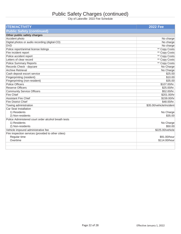# Public Safety Charges (continued)

| <b>ITEM/ACTIVITY</b>                                 | <b>2022 Fee</b>          |
|------------------------------------------------------|--------------------------|
| <b>Public Safety (continued)</b>                     |                          |
| Other public safety charges                          |                          |
| Accident photo                                       | No charge                |
| Digital photos or audio recording (digital-CD)       | No charge                |
| <b>DVD</b>                                           | No charge                |
| Police report/animal license listings                | ** Copy Costs            |
| Fire incident report                                 | ** Copy Costs            |
| Police accident report                               | ** Copy Costs            |
| Letters of clear record                              | ** Copy Costs            |
| <b>Police Summary Reports</b>                        | ** Copy Costs            |
| Records Check - daycare                              | No Charge                |
| <b>Archive Retrieval</b>                             | No Charge                |
| Cash deposit escort service                          | \$25.00                  |
| Fingerprinting (resident)                            | \$10.00                  |
| Fingerprinting (non-resident)                        | \$35.00                  |
| <b>Police Officers</b>                               | \$107.00/hr.             |
| <b>Reserve Officers</b>                              | \$25.00/hr.              |
| <b>Community Service Officers</b>                    | \$52.00/hr.              |
| <b>Fire Chief</b>                                    | \$201.00/hr              |
| <b>Assistant Fire Chief</b>                          | \$159.00/hr              |
| <b>Fire District Chief</b>                           | \$48.00/hr.              |
| Towing administration                                | \$35.00/vehicle/incident |
| Car Seat Installation                                |                          |
| 1) Residents                                         | No Charge                |
| 2) Non-residents                                     | \$35.00                  |
| Police Administered court order alcohol breath tests |                          |
| 1) Residents                                         | No Charge                |
| 2) Non-residents                                     | \$50.00                  |
| Vehicle impound administrative fee                   | \$225.00/vehicle         |
| Fire inspection services (provided to other cities)  |                          |
| Regular time                                         | \$91.00/hour             |
| Overtime                                             | \$114.00/hour            |
|                                                      |                          |
|                                                      |                          |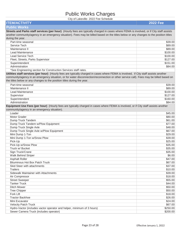# Public Works Charges

| City Of Langville- 2022 I Ge Ochedule                                                                                                    |                 |
|------------------------------------------------------------------------------------------------------------------------------------------|-----------------|
| <b>ITEM/ACTIVITY</b>                                                                                                                     | <b>2022 Fee</b> |
| <b>Public Works</b>                                                                                                                      |                 |
| Streets and Parks staff services (per hour) (Hourly fees are typically charged in cases where FEMA is involved, or if City staff assists |                 |
| another community/agency in an emergency situation). Fees may be billed based on the titles below or any changes to the position titles  |                 |
| during the year.                                                                                                                         |                 |
| Part-time seasonal                                                                                                                       | \$39.00         |
| Service Tech                                                                                                                             | \$89.00         |
| Maintenance II                                                                                                                           | \$89.00         |
| <b>Lead Maintenance</b>                                                                                                                  | \$100.00        |
| <b>Lead Service Tech</b>                                                                                                                 | \$100.00        |
| Fleet, Streets, Parks Supervisor                                                                                                         | \$127.00        |
| Superintendent                                                                                                                           | \$151.00        |
| Administration                                                                                                                           | \$84.00         |
| *See Engineering section for Construction Services staff rates.                                                                          |                 |
| Utilities staff services (per hour) (Hourly fees are typically charged in cases where FEMA is involved, if City staff assists another    |                 |
| community/agency in an emergency situation, or for water disconnection/reconnection or other service call). Fees may be billed based on  |                 |
| the titles below or any changes to the position titles during the year.                                                                  |                 |
| Part-time seasonal                                                                                                                       | \$39.00         |
| Maintenance II                                                                                                                           | \$89.00         |
| <b>Lead Maintenance</b>                                                                                                                  | \$100.00        |
| Supervisor                                                                                                                               | \$127.00        |
| Superintendent                                                                                                                           | \$160.00        |
| Administration                                                                                                                           | \$84.00         |
|                                                                                                                                          |                 |
| Equipment Use Fees (per hour) (Hourly fees are typically charged in cases where FEMA is involved, or if City staff assists another       |                 |
| community/agency in an emergency situation).                                                                                             |                 |
| Loader                                                                                                                                   | \$45.00         |
| <b>Motor Grader</b>                                                                                                                      | \$80.00         |
| Dump Truck Tandem                                                                                                                        | \$61.00         |
| Dump Truck Tandem w/Plow Equipment                                                                                                       | \$77.00         |
| Dump Truck Single Axle                                                                                                                   | \$48.00         |
| Dump Truck Single Axle w/Plow Equipment                                                                                                  | \$67.00         |
| Mini Dump 1-Ton                                                                                                                          | \$29.00         |
| Mini Dump 1-Ton w/Snow Plow                                                                                                              | \$39.00         |
| Pick-Up                                                                                                                                  | \$25.00         |
| Pick-Up w/Snow Plow                                                                                                                      | \$35.00         |
| Truck w/ Bucket                                                                                                                          | \$35.00         |
| Sign Truck/Crane                                                                                                                         | \$35.00         |
| <b>Walk Behind Striper</b>                                                                                                               | \$6.00          |
| <b>Asphalt Roller</b>                                                                                                                    | \$47.00         |
| <b>Bituminous Hot Box Patch Truck</b>                                                                                                    | \$67.00         |
| Skid Steer with attachments                                                                                                              | \$37.00         |
| <b>Trailers</b>                                                                                                                          | \$10.00         |
| Sidewalk Maintainer with Attachments                                                                                                     | \$39.00         |
| Air Compressor                                                                                                                           | \$18.00         |
| <b>Street Sweeper</b>                                                                                                                    | \$55.00         |
| <b>Tanker Truck</b>                                                                                                                      | \$44.00         |
| <b>Ditch Mower</b>                                                                                                                       | \$50.00         |
| <b>Tree Chipper</b>                                                                                                                      | \$50.00         |
| Fork Lift                                                                                                                                | \$18.00         |
| <b>Tractor Backhoe</b>                                                                                                                   | \$26.00         |
| Mini Excavator                                                                                                                           | \$24.00         |
| <b>Velocity Patch Truck</b>                                                                                                              | \$67.00         |
| Hydro-Vactor (includes vactor operator and helper, minimum of 3 hours)                                                                   | \$250.00        |
| Sewer Camera Truck (includes operator)                                                                                                   | \$200.00        |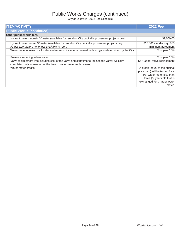# Public Works Charges (continued)

| <b>ITEM/ACTIVITY</b>                                                                                                                                                 | <b>2022 Fee</b>                  |
|----------------------------------------------------------------------------------------------------------------------------------------------------------------------|----------------------------------|
| <b>Public Works (continued)</b>                                                                                                                                      |                                  |
| Other public works fees                                                                                                                                              |                                  |
| Hydrant meter deposit- 3" meter (available for rental on City capital improvement projects only).                                                                    | \$2,000.00                       |
| Hydrant meter rental- 3" meter (available for rental on City capital improvement projects only).                                                                     | \$10.00/calendar day; \$50       |
| (Other size meters no longer available to rent).                                                                                                                     | minimum/agreement                |
| Water meters- sales of all water meters must include radio read technology as determined by the City                                                                 | Cost plus 15%                    |
| Pressure reducing valves sales                                                                                                                                       | Cost plus 15%                    |
| Valve replacement (fee includes cost of the valve and staff time to replace the valve; typically<br>completed only as needed at the time of water meter replacement) | \$47.00 per valve replacement    |
| Water meter credits                                                                                                                                                  | A credit (equal to the original  |
|                                                                                                                                                                      | price paid) will be issued for a |
|                                                                                                                                                                      | 5/8" water meter less than       |
|                                                                                                                                                                      | three (3) years old that is      |
|                                                                                                                                                                      | exchanged for a larger water     |
|                                                                                                                                                                      | meter.                           |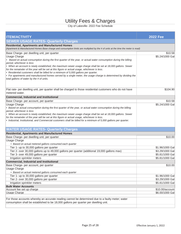## Utility Fees & Charges

| <b>ITEM/ACTIVITY</b>                                                                                                                      | <b>2022 Fee</b>                    |
|-------------------------------------------------------------------------------------------------------------------------------------------|------------------------------------|
| <b>SEWER USAGE RATES- Quarterly Charges</b>                                                                                               |                                    |
| <b>Residential, Apartments and Manufactured Homes</b>                                                                                     |                                    |
| (Apartment & Manufactured Homes Base charge and consumption limits are multiplied by the # of units at the time the meter is read)        |                                    |
| Base Charge- per dwelling unit, per quarter                                                                                               | \$10.58                            |
| Usage Charge                                                                                                                              | \$5.24/1000 Gal                    |
| • Based on actual consumption during the first quarter of the year, or actual water consumption during the billing                        |                                    |
| period, whichever is less<br>• When an account is newly established, the maximum sewer usage charge shall be set at 18,000 gallons. Sewer |                                    |
| for the remainder of the year will be set at this figure or actual usage, whichever is less.                                              |                                    |
| • Residential customers shall be billed for a minimum of 5,000 gallons per quarter.                                                       |                                    |
| • For apartments and manufactured homes served by a single meter, the usage charge is determined by dividing the                          |                                    |
| total gallons of water by the # of units.                                                                                                 |                                    |
|                                                                                                                                           |                                    |
| Flat rate- per dwelling unit, per quarter shall be charged to those residential customers who do not have                                 | \$104.90                           |
| metered water.                                                                                                                            |                                    |
| <b>Commercial, Industrial and Institutional</b>                                                                                           |                                    |
| Base Charge- per account, per quarter                                                                                                     | \$10.58                            |
| Usage Charge                                                                                                                              | \$5.24/1000 Gal                    |
| • Based on actual consumption during the first quarter of the year, or actual water consumption during the billing                        |                                    |
| period, whichever is less<br>• When an account is newly established, the maximum sewer usage charge shall be set at 18,000 gallons. Sewer |                                    |
| for the remainder of the year will be set at this figure or actual usage, whichever is less.                                              |                                    |
| · Industrial, Institutional, and Commercial customers shall be billed for a minimum of 5,000 gallons per quarter.                         |                                    |
|                                                                                                                                           |                                    |
| <b>WATER USAGE RATES- Quarterly Charges</b>                                                                                               |                                    |
| <b>Residential, Apartments and Manufactured Homes</b>                                                                                     |                                    |
| Base Charge- per dwelling unit, per quarter                                                                                               | \$10.00                            |
| <b>Usage Charge</b>                                                                                                                       |                                    |
| • Based on actual metered gallons consumed each quarter                                                                                   |                                    |
| Tier 1- up to 30,000 gallons per quarter<br>Tier 2- over 30,000 gallons up to 49,000 gallons per quarter (additional 19,000 gallons max)  | \$1.96/1000 Gal<br>\$3.29/1000 Gal |
| Tier 3- over 49,000 gallons per quarter                                                                                                   | \$5.81/1000 Gal                    |
| Irrigation sprinkler meters                                                                                                               | \$5.81/1000 Gal                    |
| <b>Commercial, Industrial and Institutional</b>                                                                                           |                                    |
| Base Charge- per account, per quarter                                                                                                     | \$10.00                            |
| Usage Charge                                                                                                                              |                                    |
| • Based on actual metered gallons consumed each quarter                                                                                   |                                    |
| Tier 1- up to 30,000 gallons per quarter                                                                                                  | \$1.96/1000 Gal                    |
| Tier 2- over 30,000 gallons per quarter                                                                                                   | \$3.29/1000 Gal                    |
| Irrigation sprinkler meters                                                                                                               | \$5.81/1000 Gal                    |
| <b>Bulk Water Accounts</b><br>Account fee set up charge                                                                                   | \$10.00/account                    |
| Usage Charge                                                                                                                              | \$6.00/1000 Gal                    |
|                                                                                                                                           |                                    |
| For those accounts whereby an accurate reading cannot be determined due to a faulty meter; water                                          |                                    |
| consumption shall be established to be 18,000 gallons per quarter per dwelling unit.                                                      |                                    |
|                                                                                                                                           |                                    |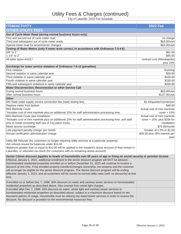# Utility Fees & Charges (continued)

| <b>ITEM/ACTIVITY</b>                                                                                                        | <b>2022 Fee</b>               |
|-----------------------------------------------------------------------------------------------------------------------------|-------------------------------|
| OTHER UTILITY FEES                                                                                                          |                               |
| Out of Cycle Meter Read (during normal business hours only)                                                                 |                               |
| First and second out of cycle meter read                                                                                    | no charge                     |
| Third and subsequent out of cycle meter reads                                                                               | \$63.00/visit                 |
| Special meter read for tenant/owner changes                                                                                 | \$63.00/visit                 |
| Testing of Water Meters (only if meter tests correct, in accordance with Ordinance 7-5-4-6)                                 |                               |
| 5/8" to 1"                                                                                                                  | \$61.00                       |
| 1 1/4" to 2"                                                                                                                | \$85.00                       |
| All other sizes+A1017                                                                                                       | contract cost (Minneapolis)   |
|                                                                                                                             | plus 10%                      |
| Surcharge for water service violation of Ordinance 7-5-12 (penalties)                                                       |                               |
| <b>First violation</b>                                                                                                      | Warning                       |
| Second violation in same calendar year                                                                                      | \$50.00                       |
| Third violation in same calendar year                                                                                       | \$100.00                      |
| Fourth violation in same calendar year                                                                                      | \$150.00                      |
| Fifth and subsequent violations in same calendar year                                                                       | \$200.00                      |
| Water Disconnection, Reconnection or other Service Call                                                                     |                               |
| During normal business hours                                                                                                | \$63.00/visit                 |
| After normal business hours                                                                                                 | \$137.00/visit                |
| <b>Other</b>                                                                                                                |                               |
| MN State water supply service connection fee (state testing fee)                                                            | \$2.43/quarter/connection     |
| Replace meter frost bottom                                                                                                  | \$40.00                       |
| Mini Manhole Cover                                                                                                          | Actual cost of mini manhole   |
| *Includes cost of mini manhole plus an additional 15% for staff administrative processing time.                             | $cover + 15%$                 |
| Mini Manhole Cover plus installation                                                                                        | Actual cost of mini manhole   |
| *Includes cost of mini manhole plus an additional 15% for staff administrative processing time, and staff                   | cover + 15%; plus \$256 for   |
| time to install (including staff use of City patch truck).                                                                  | installation                  |
| Meter access surcharge                                                                                                      | \$75.00/month                 |
| Late payment penalty charge- per month                                                                                      | Greater of 1.5% or \$1.00     |
| Annual certification administration charge                                                                                  | \$35.00 plus 18% interest per |
|                                                                                                                             | year                          |
| Utility Bill Refunds (for customers no longer requiring utility services at a particular property):                         |                               |
| .No refunds issued for balances under \$10.00                                                                               |                               |
| •Balances greater than or equal to \$10.00 will be applied to the resident's active account (if they remain in              |                               |
| Lakeville), or refunded via check (for customers with no remaining active account).                                         |                               |
| Senior Citizen discount (applies to heads of households over 65 years of age or living on social security or pension income |                               |
| Effective January 1, 2021, additional enrollment to the senior discount program will NOT be allowed.                        |                               |
| Homesteaded residential properties enrolled on or before December 31, 2020 will continue to receive a                       |                               |
| discount at this time. If the enrolled property transfers/changes ownership, the property and the customer                  |                               |
| will no longer be eligible for the senior discount program. The Senior discount program will be ending                      |                               |
| effective January 1, 2023, and all customers will be moved to normal utility rates (with no discounts) at that              |                               |
| time.                                                                                                                       |                               |
|                                                                                                                             |                               |
| If enrolled on or before Dec 7, 1998: 30% discount on water and sanitary sewer services to homesteaded                      |                               |
| residential properties as described above. Also exempt from street light charges.                                           |                               |
| If enrolled after Dec 7, 1998: 30% discount on water, street light and sanitary sewer services to                           |                               |
| homesteaded residential properties as described above, subject to a maximum discount based on ten                           |                               |
| thousand gallons of usage. Households must be utilizing city water/sewer services in order to receive the                   |                               |
| discount. No discount is provided on the environmental resources fees.                                                      |                               |
|                                                                                                                             |                               |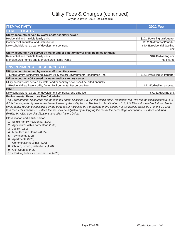# Utility Fees & Charges (continued)

| <b>ITEM/ACTIVITY</b>                                                                                                                                                                                                                                                                                                                                                                                                                                                                                                                                                                                                                                                                                                    | <b>2022 Fee</b>                      |  |
|-------------------------------------------------------------------------------------------------------------------------------------------------------------------------------------------------------------------------------------------------------------------------------------------------------------------------------------------------------------------------------------------------------------------------------------------------------------------------------------------------------------------------------------------------------------------------------------------------------------------------------------------------------------------------------------------------------------------------|--------------------------------------|--|
| <b>STREET LIGHTS</b>                                                                                                                                                                                                                                                                                                                                                                                                                                                                                                                                                                                                                                                                                                    |                                      |  |
| Utility accounts served by water and/or sanitary sewer                                                                                                                                                                                                                                                                                                                                                                                                                                                                                                                                                                                                                                                                  |                                      |  |
| Residential and multiple family units                                                                                                                                                                                                                                                                                                                                                                                                                                                                                                                                                                                                                                                                                   | \$10.12/dwelling unit/quarter        |  |
| Commercial, Industrial and Institutional                                                                                                                                                                                                                                                                                                                                                                                                                                                                                                                                                                                                                                                                                | \$0.2832/front foot/quarter          |  |
| New subdivisions, as part of development contract                                                                                                                                                                                                                                                                                                                                                                                                                                                                                                                                                                                                                                                                       | \$40.48/residential dwelling<br>unit |  |
| Utility accounts NOT served by water and/or sanitary sewer shall be billed annually                                                                                                                                                                                                                                                                                                                                                                                                                                                                                                                                                                                                                                     |                                      |  |
| Residential and multiple family units                                                                                                                                                                                                                                                                                                                                                                                                                                                                                                                                                                                                                                                                                   | \$40.48/dwelling unit                |  |
| Manufactured homes and Manufactured Home Parks                                                                                                                                                                                                                                                                                                                                                                                                                                                                                                                                                                                                                                                                          | No charge                            |  |
|                                                                                                                                                                                                                                                                                                                                                                                                                                                                                                                                                                                                                                                                                                                         |                                      |  |
| <b>ENVIRONMENTAL RESOURCES FEE</b>                                                                                                                                                                                                                                                                                                                                                                                                                                                                                                                                                                                                                                                                                      |                                      |  |
| Utility accounts served by water and/or sanitary sewer                                                                                                                                                                                                                                                                                                                                                                                                                                                                                                                                                                                                                                                                  |                                      |  |
| -Single family (residential equivalent utility factor) Environmental Resources Fee                                                                                                                                                                                                                                                                                                                                                                                                                                                                                                                                                                                                                                      | \$17.88/dwelling unit/quarter        |  |
| Utility accounts NOT served by water and/or sanitary sewer                                                                                                                                                                                                                                                                                                                                                                                                                                                                                                                                                                                                                                                              |                                      |  |
| Utility accounts not served by water and/or sanitary sewer shall be billed annually.                                                                                                                                                                                                                                                                                                                                                                                                                                                                                                                                                                                                                                    |                                      |  |
| -Residential equivalent utility factor Environmental Resources Fee                                                                                                                                                                                                                                                                                                                                                                                                                                                                                                                                                                                                                                                      | \$71.52/dwelling unit/year           |  |
| <b>Other</b>                                                                                                                                                                                                                                                                                                                                                                                                                                                                                                                                                                                                                                                                                                            |                                      |  |
| New subdivisions, as part of development contracts; one-time fee                                                                                                                                                                                                                                                                                                                                                                                                                                                                                                                                                                                                                                                        | \$71.52/dwelling unit                |  |
| <b>Environmental Resources Fee Calculation:</b><br>The Environmental Resources fee for each tax parcel classified 1 & 2 is the single-family residential fee. The fee for classifications 3, 4, 5<br>& 6 is the single-family residential fee multiplied by the utility factor. The fee for classifications 7, 8, 9 & 10 is calculated as follows: fee for<br>single-family residential multiplied by the utility factor multiplied by the acreage of the parcel. For tax parcels classified 7, 8, 9 & 10 with<br>less than 42% impervious surface the fee shall be adjusted by multiplying the fee by the percentage of impervious surface and then<br>dividing by 42%. See classifications and utility factors below. |                                      |  |
| Classification and (Utility Factor)<br>1 - Single Family Residential (1.00)<br>2 - Agricultural with a homestead (1.00)<br>3- Duplex (0.50)<br>4 - Manufactured Homes (0.25)<br>5 - Townhomes (0.25)<br>6 - Apartments (0.25)<br>7 - Commercial/Industrial (4.20)<br>8 - Church, School, Institutions (4.20)<br>9 - Golf Courses (4.20)<br>10 - Parking Lots as a principal use (4.20)                                                                                                                                                                                                                                                                                                                                  |                                      |  |